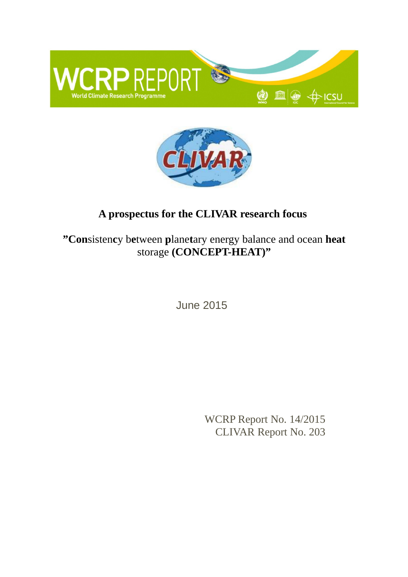



# **A prospectus for the CLIVAR research focus**

**"Con**sisten**c**y b**e**tween **p**lane**t**ary energy balance and ocean **heat** storage (CONCEPT-HEAT)"

June 2015

WCRP Report No. 14/2015 CLIVAR Report No. 203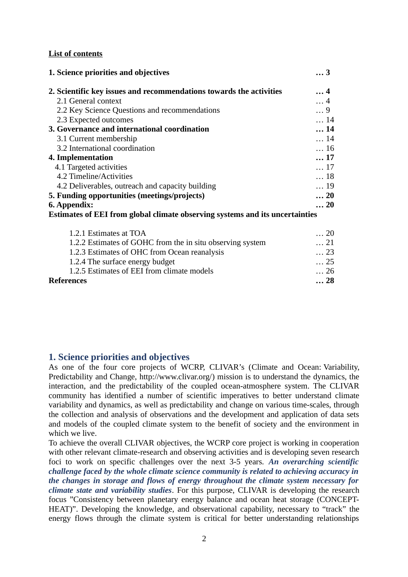### **List of contents**

| 1. Science priorities and objectives                                         | 3           |
|------------------------------------------------------------------------------|-------------|
| 2. Scientific key issues and recommendations towards the activities          | $\ldots$ 4  |
| 2.1 General context                                                          | $\ldots$ 4  |
| 2.2 Key Science Questions and recommendations                                | 9           |
| 2.3 Expected outcomes                                                        | $\ldots$ 14 |
| 3. Governance and international coordination                                 | 14          |
| 3.1 Current membership                                                       | $\ldots$ 14 |
| 3.2 International coordination                                               | $\ldots$ 16 |
| 4. Implementation                                                            | 17          |
| 4.1 Targeted activities                                                      | $\dots$ 17  |
| 4.2 Timeline/Activities                                                      | $\ldots$ 18 |
| 4.2 Deliverables, outreach and capacity building                             | $\ldots$ 19 |
| 5. Funding opportunities (meetings/projects)                                 | 20          |
| 6. Appendix:                                                                 | $\ldots$ 20 |
| Estimates of EEI from global climate observing systems and its uncertainties |             |
| 1.2.1 Estimates at TOA                                                       | $\ldots$ 20 |
| 1.2.2 Estimates of GOHC from the in situ observing system                    | $\ldots$ 21 |
| 1.2.3 Estimates of OHC from Ocean reanalysis                                 | $\dots 23$  |
| 1.2.4 The surface energy budget                                              | $\dots 25$  |
| 1.2.5 Estimates of EEI from climate models                                   | $\dots 26$  |
| <b>References</b>                                                            | 28          |

### **1. Science priorities and objectives**

As one of the four core projects of WCRP, CLIVAR's (Climate and Ocean: Variability, Predictability and Change, http://www.clivar.org/) mission is to understand the dynamics, the interaction, and the predictability of the coupled ocean-atmosphere system. The CLIVAR community has identified a number of scientific imperatives to better understand climate variability and dynamics, as well as predictability and change on various time-scales, through the collection and analysis of observations and the development and application of data sets and models of the coupled climate system to the benefit of society and the environment in which we live.

To achieve the overall CLIVAR objectives, the WCRP core project is working in cooperation with other relevant climate-research and observing activities and is developing seven research foci to work on specific challenges over the next 3-5 years. *An overarching scientific challenge faced by the whole climate science community is related to achieving accuracy in the changes in storage and flows of energy throughout the climate system necessary for climate state and variability studies*. For this purpose, CLIVAR is developing the research focus "Consistency between planetary energy balance and ocean heat storage (CONCEPT-HEAT)". Developing the knowledge, and observational capability, necessary to "track" the energy flows through the climate system is critical for better understanding relationships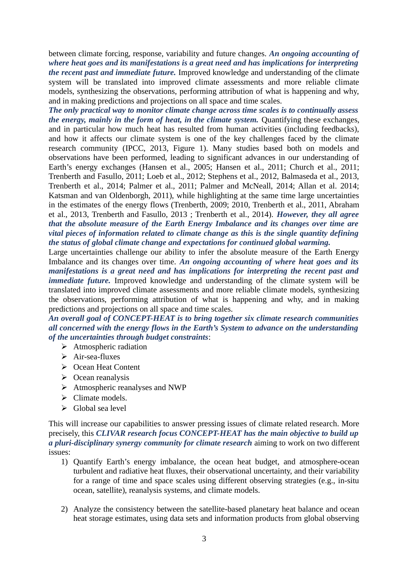between climate forcing, response, variability and future changes. *An ongoing accounting of where heat goes and its manifestations is a great need and has implications for interpreting the recent past and immediate future.* Improved knowledge and understanding of the climate system will be translated into improved climate assessments and more reliable climate models, synthesizing the observations, performing attribution of what is happening and why, and in making predictions and projections on all space and time scales.

*The only practical way to monitor climate change across time scales is to continually assess the energy, mainly in the form of heat, in the climate system.* Quantifying these exchanges, and in particular how much heat has resulted from human activities (including feedbacks), and how it affects our climate system is one of the key challenges faced by the climate research community (IPCC, 2013, Figure 1). Many studies based both on models and observations have been performed, leading to significant advances in our understanding of Earth's energy exchanges (Hansen et al., 2005; Hansen et al., 2011; Church et al., 2011; Trenberth and Fasullo, 2011; Loeb et al., 2012; Stephens et al., 2012, Balmaseda et al., 2013, Trenberth et al., 2014; Palmer et al., 2011; Palmer and McNeall, 2014; Allan et al. 2014; Katsman and van Oldenborgh, 2011), while highlighting at the same time large uncertainties in the estimates of the energy flows (Trenberth, 2009; 2010, Trenberth et al., 2011, Abraham et al., 2013, Trenberth and Fasullo, 2013 ; Trenberth et al., 2014). *However, they all agree that the absolute measure of the Earth Energy Imbalance and its changes over time are vital pieces of information related to climate change as this is the single quantity defining the status of global climate change and expectations for continued global warming.* 

Large uncertainties challenge our ability to infer the absolute measure of the Earth Energy Imbalance and its changes over time. *An ongoing accounting of where heat goes and its manifestations is a great need and has implications for interpreting the recent past and immediate future*. Improved knowledge and understanding of the climate system will be translated into improved climate assessments and more reliable climate models, synthesizing the observations, performing attribution of what is happening and why, and in making predictions and projections on all space and time scales.

*An overall goal of CONCEPT-HEAT is to bring together six climate research communities all concerned with the energy flows in the Earth's System to advance on the understanding of the uncertainties through budget constraints*:

- $\triangleright$  Atmospheric radiation
- $\triangleright$  Air-sea-fluxes
- **►** Ocean Heat Content
- $\triangleright$  Ocean reanalysis
- Atmospheric reanalyses and NWP
- $\triangleright$  Climate models.
- $\triangleright$  Global sea level

This will increase our capabilities to answer pressing issues of climate related research. More precisely, this *CLIVAR research focus CONCEPT-HEAT has the main objective to build up a pluri-disciplinary synergy community for climate research* aiming to work on two different issues:

- 1) Quantify Earth's energy imbalance, the ocean heat budget, and atmosphere-ocean turbulent and radiative heat fluxes, their observational uncertainty, and their variability for a range of time and space scales using different observing strategies (e.g., in-situ ocean, satellite), reanalysis systems, and climate models.
- 2) Analyze the consistency between the satellite-based planetary heat balance and ocean heat storage estimates, using data sets and information products from global observing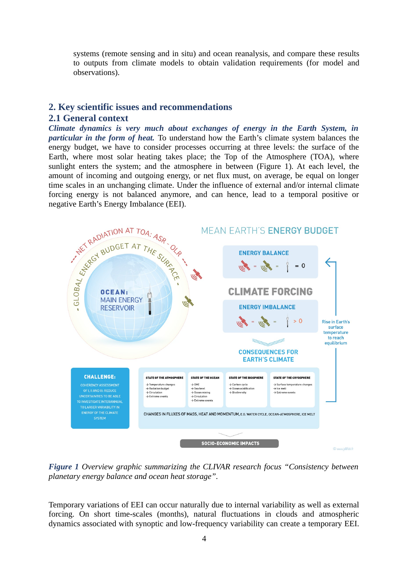systems (remote sensing and in situ) and ocean reanalysis, and compare these results to outputs from climate models to obtain validation requirements (for model and observations).

# **2. Key scientific issues and recommendations**

### **2.1 General context**

*Climate dynamics is very much about exchanges of energy in the Earth System, in particular in the form of heat.* To understand how the Earth's climate system balances the energy budget, we have to consider processes occurring at three levels: the surface of the Earth, where most solar heating takes place; the Top of the Atmosphere (TOA), where sunlight enters the system; and the atmosphere in between (Figure 1). At each level, the amount of incoming and outgoing energy, or net flux must, on average, be equal on longer time scales in an unchanging climate. Under the influence of external and/or internal climate forcing energy is not balanced anymore, and can hence, lead to a temporal positive or negative Earth's Energy Imbalance (EEI).



*Figure 1 Overview graphic summarizing the CLIVAR research focus "Consistency between planetary energy balance and ocean heat storage".*

Temporary variations of EEI can occur naturally due to internal variability as well as external forcing. On short time-scales (months), natural fluctuations in clouds and atmospheric dynamics associated with synoptic and low-frequency variability can create a temporary EEI.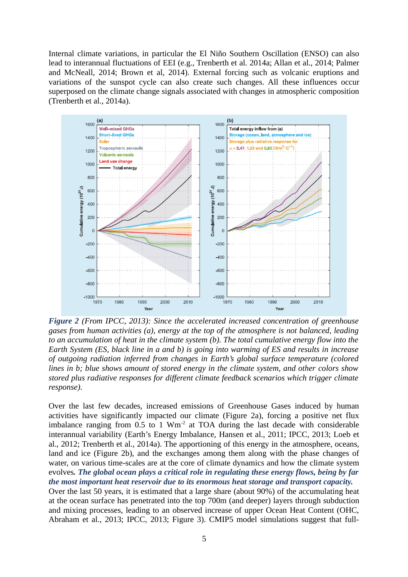Internal climate variations, in particular the El Niño Southern Oscillation (ENSO) can also lead to interannual fluctuations of EEI (e.g., Trenberth et al. 2014a; Allan et al., 2014; Palmer and McNeall, 2014; Brown et al, 2014). External forcing such as volcanic eruptions and variations of the sunspot cycle can also create such changes. All these influences occur superposed on the climate change signals associated with changes in atmospheric composition (Trenberth et al., 2014a).



*Figure 2 (From IPCC, 2013): Since the accelerated increased concentration of greenhouse gases from human activities (a), energy at the top of the atmosphere is not balanced, leading to an accumulation of heat in the climate system (b). The total cumulative energy flow into the Earth System (ES, black line in a and b) is going into warming of ES and results in increase of outgoing radiation inferred from changes in Earth's global surface temperature (colored lines in b; blue shows amount of stored energy in the climate system, and other colors show stored plus radiative responses for different climate feedback scenarios which trigger climate response).* 

Over the last few decades, increased emissions of Greenhouse Gases induced by human activities have significantly impacted our climate (Figure 2a), forcing a positive net flux imbalance ranging from  $0.5$  to 1 Wm<sup>-2</sup> at TOA during the last decade with considerable interannual variability (Earth's Energy Imbalance, Hansen et al., 2011; IPCC, 2013; Loeb et al., 2012; Trenberth et al., 2014a). The apportioning of this energy in the atmosphere, oceans, land and ice (Figure 2b), and the exchanges among them along with the phase changes of water, on various time-scales are at the core of climate dynamics and how the climate system evolves*. The global ocean plays a critical role in regulating these energy flows, being by far the most important heat reservoir due to its enormous heat storage and transport capacity.*  Over the last 50 years, it is estimated that a large share (about 90%) of the accumulating heat at the ocean surface has penetrated into the top 700m (and deeper) layers through subduction and mixing processes, leading to an observed increase of upper Ocean Heat Content (OHC, Abraham et al., 2013; IPCC, 2013; Figure 3). CMIP5 model simulations suggest that full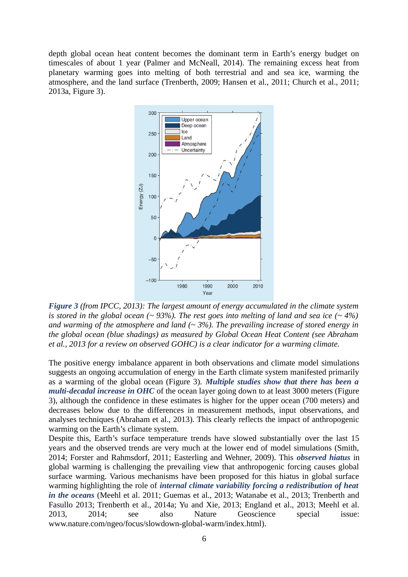depth global ocean heat content becomes the dominant term in Earth's energy budget on timescales of about 1 year (Palmer and McNeall, 2014). The remaining excess heat from planetary warming goes into melting of both terrestrial and and sea ice, warming the atmosphere, and the land surface (Trenberth, 2009; Hansen et al., 2011; Church et al., 2011; 2013a, Figure 3).



*Figure 3 (from IPCC, 2013): The largest amount of energy accumulated in the climate system is stored in the global ocean (~ 93%). The rest goes into melting of land and sea ice (~ 4%) and warming of the atmosphere and land (~ 3%). The prevailing increase of stored energy in the global ocean (blue shadings) as measured by Global Ocean Heat Content (see Abraham et al., 2013 for a review on observed GOHC) is a clear indicator for a warming climate.* 

The positive energy imbalance apparent in both observations and climate model simulations suggests an ongoing accumulation of energy in the Earth climate system manifested primarily as a warming of the global ocean (Figure 3). *Multiple studies show that there has been a multi-decadal increase in OHC* of the ocean layer going down to at least 3000 meters (Figure 3), although the confidence in these estimates is higher for the upper ocean (700 meters) and decreases below due to the differences in measurement methods, input observations, and analyses techniques (Abraham et al., 2013). This clearly reflects the impact of anthropogenic warming on the Earth's climate system.

Despite this, Earth's surface temperature trends have slowed substantially over the last 15 years and the observed trends are very much at the lower end of model simulations (Smith, 2014; Forster and Rahmsdorf, 2011; Easterling and Wehner, 2009). This *observed hiatus* in global warming is challenging the prevailing view that anthropogenic forcing causes global surface warming. Various mechanisms have been proposed for this hiatus in global surface warming highlighting the role of *internal climate variability forcing a redistribution of heat in the oceans* (Meehl et al. 2011; Guemas et al., 2013; Watanabe et al., 2013; Trenberth and Fasullo 2013; Trenberth et al., 2014a; Yu and Xie, 2013; England et al., 2013; Meehl et al. 2013, 2014; see also Nature Geoscience special issue: www.nature.com/ngeo/focus/slowdown-global-warm/index.html).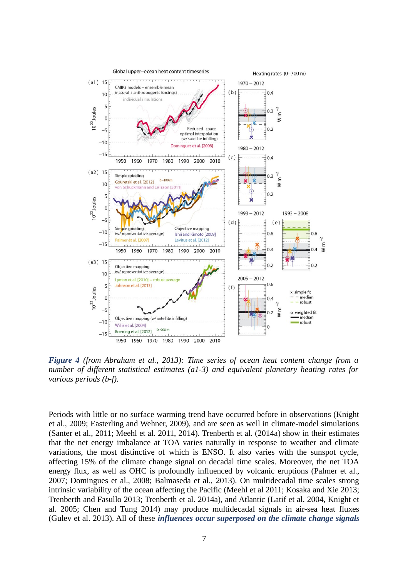

*Figure 4 (from Abraham et al., 2013): Time series of ocean heat content change from a number of different statistical estimates (a1-3) and equivalent planetary heating rates for various periods (b-f).*

Periods with little or no surface warming trend have occurred before in observations (Knight et al., 2009; Easterling and Wehner, 2009), and are seen as well in climate-model simulations (Santer et al., 2011; Meehl et al. 2011, 2014). Trenberth et al. (2014a) show in their estimates that the net energy imbalance at TOA varies naturally in response to weather and climate variations, the most distinctive of which is ENSO. It also varies with the sunspot cycle, affecting 15% of the climate change signal on decadal time scales. Moreover, the net TOA energy flux, as well as OHC is profoundly influenced by volcanic eruptions (Palmer et al., 2007; Domingues et al., 2008; Balmaseda et al., 2013). On multidecadal time scales strong intrinsic variability of the ocean affecting the Pacific (Meehl et al 2011; Kosaka and Xie 2013; Trenberth and Fasullo 2013; Trenberth et al. 2014a), and Atlantic (Latif et al. 2004, Knight et al. 2005; Chen and Tung 2014) may produce multidecadal signals in air-sea heat fluxes (Gulev et al. 2013). All of these *influences occur superposed on the climate change signals*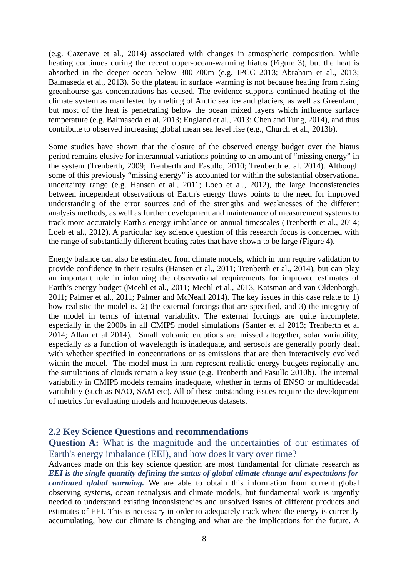(e.g. Cazenave et al., 2014) associated with changes in atmospheric composition. While heating continues during the recent upper-ocean-warming hiatus (Figure 3), but the heat is absorbed in the deeper ocean below 300-700m (e.g. IPCC 2013; Abraham et al., 2013; Balmaseda et al., 2013). So the plateau in surface warming is not because heating from rising greenhourse gas concentrations has ceased. The evidence supports continued heating of the climate system as manifested by melting of Arctic sea ice and glaciers, as well as Greenland, but most of the heat is penetrating below the ocean mixed layers which influence surface temperature (e.g. Balmaseda et al. 2013; England et al., 2013; Chen and Tung, 2014), and thus contribute to observed increasing global mean sea level rise (e.g., Church et al., 2013b).

Some studies have shown that the closure of the observed energy budget over the hiatus period remains elusive for interannual variations pointing to an amount of "missing energy" in the system (Trenberth, 2009; Trenberth and Fasullo, 2010; Trenberth et al. 2014). Although some of this previously "missing energy" is accounted for within the substantial observational uncertainty range (e.g. Hansen et al., 2011; Loeb et al., 2012), the large inconsistencies between independent observations of Earth's energy flows points to the need for improved understanding of the error sources and of the strengths and weaknesses of the different analysis methods, as well as further development and maintenance of measurement systems to track more accurately Earth's energy imbalance on annual timescales (Trenberth et al., 2014; Loeb et al., 2012). A particular key science question of this research focus is concerned with the range of substantially different heating rates that have shown to be large (Figure 4).

Energy balance can also be estimated from climate models, which in turn require validation to provide confidence in their results (Hansen et al., 2011; Trenberth et al., 2014), but can play an important role in informing the observational requirements for improved estimates of Earth's energy budget (Meehl et al., 2011; Meehl et al., 2013, Katsman and van Oldenborgh, 2011; Palmer et al., 2011; Palmer and McNeall 2014). The key issues in this case relate to 1) how realistic the model is, 2) the external forcings that are specified, and 3) the integrity of the model in terms of internal variability. The external forcings are quite incomplete, especially in the 2000s in all CMIP5 model simulations (Santer et al 2013; Trenberth et al 2014; Allan et al 2014). Small volcanic eruptions are missed altogether, solar variability, especially as a function of wavelength is inadequate, and aerosols are generally poorly dealt with whether specified in concentrations or as emissions that are then interactively evolved within the model. The model must in turn represent realistic energy budgets regionally and the simulations of clouds remain a key issue (e.g. Trenberth and Fasullo 2010b). The internal variability in CMIP5 models remains inadequate, whether in terms of ENSO or multidecadal variability (such as NAO, SAM etc). All of these outstanding issues require the development of metrics for evaluating models and homogeneous datasets.

### **2.2 Key Science Questions and recommendations**

**Question A:** What is the magnitude and the uncertainties of our estimates of Earth's energy imbalance (EEI), and how does it vary over time?

Advances made on this key science question are most fundamental for climate research as *EEI is the single quantity defining the status of global climate change and expectations for continued global warming.* We are able to obtain this information from current global observing systems, ocean reanalysis and climate models, but fundamental work is urgently needed to understand existing inconsistencies and unsolved issues of different products and estimates of EEI. This is necessary in order to adequately track where the energy is currently accumulating, how our climate is changing and what are the implications for the future. A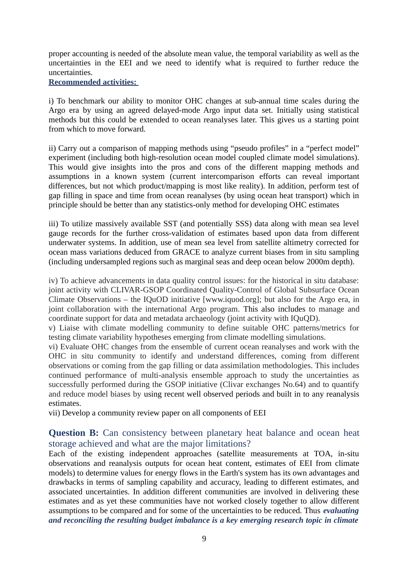proper accounting is needed of the absolute mean value, the temporal variability as well as the uncertainties in the EEI and we need to identify what is required to further reduce the uncertainties.

#### **Recommended activities:**

i) To benchmark our ability to monitor OHC changes at sub-annual time scales during the Argo era by using an agreed delayed-mode Argo input data set. Initially using statistical methods but this could be extended to ocean reanalyses later. This gives us a starting point from which to move forward.

ii) Carry out a comparison of mapping methods using "pseudo profiles" in a "perfect model" experiment (including both high-resolution ocean model coupled climate model simulations). This would give insights into the pros and cons of the different mapping methods and assumptions in a known system (current intercomparison efforts can reveal important differences, but not which product/mapping is most like reality). In addition, perform test of gap filling in space and time from ocean reanalyses (by using ocean heat transport) which in principle should be better than any statistics-only method for developing OHC estimates

iii) To utilize massively available SST (and potentially SSS) data along with mean sea level gauge records for the further cross-validation of estimates based upon data from different underwater systems. In addition, use of mean sea level from satellite altimetry corrected for ocean mass variations deduced from GRACE to analyze current biases from in situ sampling (including undersampled regions such as marginal seas and deep ocean below 2000m depth).

iv) To achieve advancements in data quality control issues: for the historical in situ database: joint activity with CLIVAR-GSOP Coordinated Quality-Control of Global Subsurface Ocean Climate Observations – the IQuOD initiative [www.iquod.org]; but also for the Argo era, in joint collaboration with the international Argo program. This also includes to manage and coordinate support for data and metadata archaeology (joint activity with IQuQD).

v) Liaise with climate modelling community to define suitable OHC patterns/metrics for testing climate variability hypotheses emerging from climate modelling simulations.

vi) Evaluate OHC changes from the ensemble of current ocean reanalyses and work with the OHC in situ community to identify and understand differences, coming from different observations or coming from the gap filling or data assimilation methodologies. This includes continued performance of multi-analysis ensemble approach to study the uncertainties as successfully performed during the GSOP initiative (Clivar exchanges No.64) and to quantify and reduce model biases by using recent well observed periods and built in to any reanalysis estimates.

vii) Develop a community review paper on all components of EEI

## **Question B:** Can consistency between planetary heat balance and ocean heat storage achieved and what are the major limitations?

Each of the existing independent approaches (satellite measurements at TOA, in-situ observations and reanalysis outputs for ocean heat content, estimates of EEI from climate models) to determine values for energy flows in the Earth's system has its own advantages and drawbacks in terms of sampling capability and accuracy, leading to different estimates, and associated uncertainties. In addition different communities are involved in delivering these estimates and as yet these communities have not worked closely together to allow different assumptions to be compared and for some of the uncertainties to be reduced. Thus *evaluating and reconciling the resulting budget imbalance is a key emerging research topic in climate*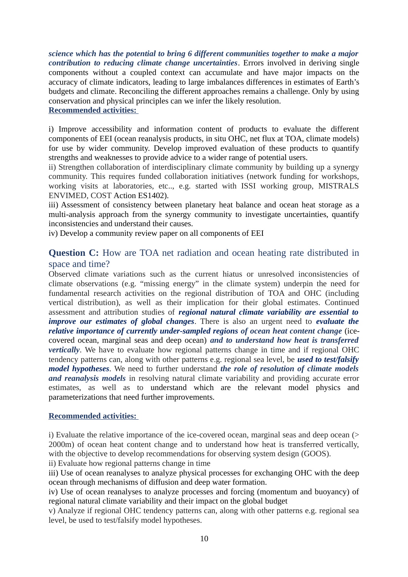*science which has the potential to bring 6 different communities together to make a major contribution to reducing climate change uncertainties*. Errors involved in deriving single components without a coupled context can accumulate and have major impacts on the accuracy of climate indicators, leading to large imbalances differences in estimates of Earth's budgets and climate. Reconciling the different approaches remains a challenge. Only by using conservation and physical principles can we infer the likely resolution. **Recommended activities:** 

#### i) Improve accessibility and information content of products to evaluate the different components of EEI (ocean reanalysis products, in situ OHC, net flux at TOA, climate models) for use by wider community. Develop improved evaluation of these products to quantify strengths and weaknesses to provide advice to a wider range of potential users.

ii) Strengthen collaboration of interdisciplinary climate community by building up a synergy community. This requires funded collaboration initiatives (network funding for workshops, working visits at laboratories, etc.., e.g. started with ISSI working group, MISTRALS ENVIMED, COST Action ES1402).

iii) Assessment of consistency between planetary heat balance and ocean heat storage as a multi-analysis approach from the synergy community to investigate uncertainties, quantify inconsistencies and understand their causes.

iv) Develop a community review paper on all components of EEI

# **Question C:** How are TOA net radiation and ocean heating rate distributed in space and time?

Observed climate variations such as the current hiatus or unresolved inconsistencies of climate observations (e.g. "missing energy" in the climate system) underpin the need for fundamental research activities on the regional distribution of TOA and OHC (including vertical distribution), as well as their implication for their global estimates. Continued assessment and attribution studies of *regional natural climate variability are essential to improve our estimates of global changes*. There is also an urgent need to *evaluate the relative importance of currently under-sampled regions of ocean heat content change* (icecovered ocean, marginal seas and deep ocean) *and to understand how heat is transferred vertically*. We have to evaluate how regional patterns change in time and if regional OHC tendency patterns can, along with other patterns e.g. regional sea level, be *used to test/falsify model hypotheses*. We need to further understand *the role of resolution of climate models and reanalysis models* in resolving natural climate variability and providing accurate error estimates, as well as to understand which are the relevant model physics and parameterizations that need further improvements.

### **Recommended activities:**

i) Evaluate the relative importance of the ice-covered ocean, marginal seas and deep ocean (> 2000m) of ocean heat content change and to understand how heat is transferred vertically, with the objective to develop recommendations for observing system design (GOOS).

ii) Evaluate how regional patterns change in time

iii) Use of ocean reanalyses to analyze physical processes for exchanging OHC with the deep ocean through mechanisms of diffusion and deep water formation.

iv) Use of ocean reanalyses to analyze processes and forcing (momentum and buoyancy) of regional natural climate variability and their impact on the global budget

v) Analyze if regional OHC tendency patterns can, along with other patterns e.g. regional sea level, be used to test/falsify model hypotheses.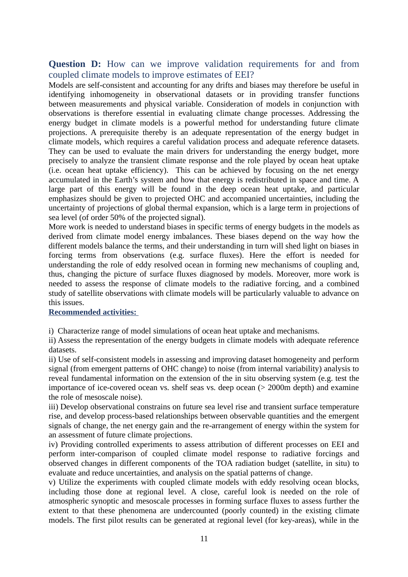### **Question D:** How can we improve validation requirements for and from coupled climate models to improve estimates of EEI?

Models are self-consistent and accounting for any drifts and biases may therefore be useful in identifying inhomogeneity in observational datasets or in providing transfer functions between measurements and physical variable. Consideration of models in conjunction with observations is therefore essential in evaluating climate change processes. Addressing the energy budget in climate models is a powerful method for understanding future climate projections. A prerequisite thereby is an adequate representation of the energy budget in climate models, which requires a careful validation process and adequate reference datasets. They can be used to evaluate the main drivers for understanding the energy budget, more precisely to analyze the transient climate response and the role played by ocean heat uptake (i.e. ocean heat uptake efficiency). This can be achieved by focusing on the net energy accumulated in the Earth's system and how that energy is redistributed in space and time. A large part of this energy will be found in the deep ocean heat uptake, and particular emphasizes should be given to projected OHC and accompanied uncertainties, including the uncertainty of projections of global thermal expansion, which is a large term in projections of sea level (of order 50% of the projected signal).

More work is needed to understand biases in specific terms of energy budgets in the models as derived from climate model energy imbalances. These biases depend on the way how the different models balance the terms, and their understanding in turn will shed light on biases in forcing terms from observations (e.g. surface fluxes). Here the effort is needed for understanding the role of eddy resolved ocean in forming new mechanisms of coupling and, thus, changing the picture of surface fluxes diagnosed by models. Moreover, more work is needed to assess the response of climate models to the radiative forcing, and a combined study of satellite observations with climate models will be particularly valuable to advance on this issues.

#### **Recommended activities:**

i) Characterize range of model simulations of ocean heat uptake and mechanisms.

ii) Assess the representation of the energy budgets in climate models with adequate reference datasets.

ii) Use of self-consistent models in assessing and improving dataset homogeneity and perform signal (from emergent patterns of OHC change) to noise (from internal variability) analysis to reveal fundamental information on the extension of the in situ observing system (e.g. test the importance of ice-covered ocean vs. shelf seas vs. deep ocean ( $>$  2000m depth) and examine the role of mesoscale noise).

iii) Develop observational constrains on future sea level rise and transient surface temperature rise, and develop process-based relationships between observable quantities and the emergent signals of change, the net energy gain and the re-arrangement of energy within the system for an assessment of future climate projections.

iv) Providing controlled experiments to assess attribution of different processes on EEI and perform inter-comparison of coupled climate model response to radiative forcings and observed changes in different components of the TOA radiation budget (satellite, in situ) to evaluate and reduce uncertainties, and analysis on the spatial patterns of change.

v) Utilize the experiments with coupled climate models with eddy resolving ocean blocks, including those done at regional level. A close, careful look is needed on the role of atmospheric synoptic and mesoscale processes in forming surface fluxes to assess further the extent to that these phenomena are undercounted (poorly counted) in the existing climate models. The first pilot results can be generated at regional level (for key-areas), while in the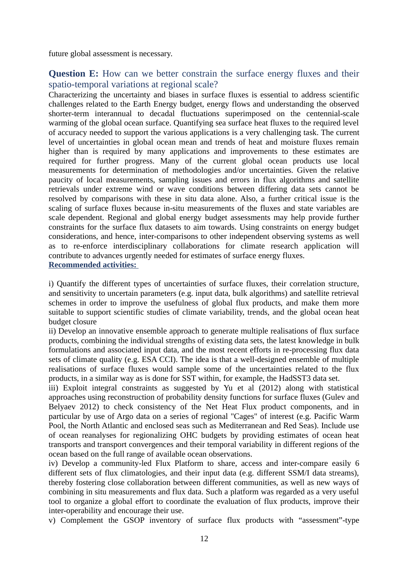future global assessment is necessary.

# **Question E:** How can we better constrain the surface energy fluxes and their spatio-temporal variations at regional scale?

Characterizing the uncertainty and biases in surface fluxes is essential to address scientific challenges related to the Earth Energy budget, energy flows and understanding the observed shorter-term interannual to decadal fluctuations superimposed on the centennial-scale warming of the global ocean surface. Quantifying sea surface heat fluxes to the required level of accuracy needed to support the various applications is a very challenging task. The current level of uncertainties in global ocean mean and trends of heat and moisture fluxes remain higher than is required by many applications and improvements to these estimates are required for further progress. Many of the current global ocean products use local measurements for determination of methodologies and/or uncertainties. Given the relative paucity of local measurements, sampling issues and errors in flux algorithms and satellite retrievals under extreme wind or wave conditions between differing data sets cannot be resolved by comparisons with these in situ data alone. Also, a further critical issue is the scaling of surface fluxes because in-situ measurements of the fluxes and state variables are scale dependent. Regional and global energy budget assessments may help provide further constraints for the surface flux datasets to aim towards. Using constraints on energy budget considerations, and hence, inter-comparisons to other independent observing systems as well as to re-enforce interdisciplinary collaborations for climate research application will contribute to advances urgently needed for estimates of surface energy fluxes. **Recommended activities:** 

i) Quantify the different types of uncertainties of surface fluxes, their correlation structure, and sensitivity to uncertain parameters (e.g. input data, bulk algorithms) and satellite retrieval schemes in order to improve the usefulness of global flux products, and make them more suitable to support scientific studies of climate variability, trends, and the global ocean heat budget closure

ii) Develop an innovative ensemble approach to generate multiple realisations of flux surface products, combining the individual strengths of existing data sets, the latest knowledge in bulk formulations and associated input data, and the most recent efforts in re-processing flux data sets of climate quality (e.g. ESA CCI). The idea is that a well-designed ensemble of multiple realisations of surface fluxes would sample some of the uncertainties related to the flux products, in a similar way as is done for SST within, for example, the HadSST3 data set.

iii) Exploit integral constraints as suggested by Yu et al (2012) along with statistical approaches using reconstruction of probability density functions for surface fluxes (Gulev and Belyaev 2012) to check consistency of the Net Heat Flux product components, and in particular by use of Argo data on a series of regional "Cages" of interest (e.g. Pacific Warm Pool, the North Atlantic and enclosed seas such as Mediterranean and Red Seas). Include use of ocean reanalyses for regionalizing OHC budgets by providing estimates of ocean heat transports and transport convergences and their temporal variability in different regions of the ocean based on the full range of available ocean observations.

iv) Develop a community-led Flux Platform to share, access and inter-compare easily 6 different sets of flux climatologies, and their input data (e.g. different SSM/I data streams), thereby fostering close collaboration between different communities, as well as new ways of combining in situ measurements and flux data. Such a platform was regarded as a very useful tool to organize a global effort to coordinate the evaluation of flux products, improve their inter-operability and encourage their use.

v) Complement the GSOP inventory of surface flux products with "assessment"-type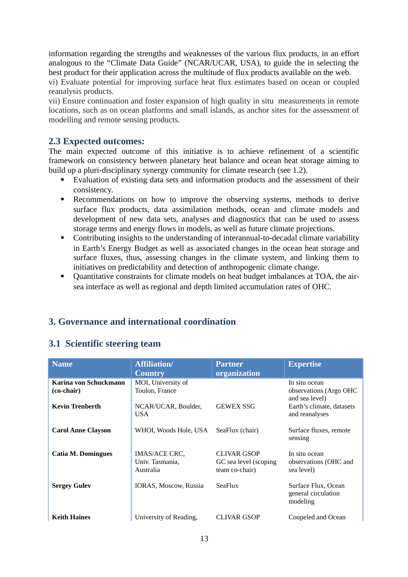information regarding the strengths and weaknesses of the various flux products, in an effort analogous to the "Climate Data Guide" (NCAR/UCAR, USA), to guide the in selecting the best product for their application across the multitude of flux products available on the web.

vi) Evaluate potential for improving surface heat flux estimates based on ocean or coupled reanalysis products.

vii) Ensure continuation and foster expansion of high quality in situ measurements in remote locations, such as on ocean platforms and small islands, as anchor sites for the assessment of modelling and remote sensing products.

### **2.3 Expected outcomes:**

The main expected outcome of this initiative is to achieve refinement of a scientific framework on consistency between planetary heat balance and ocean heat storage aiming to build up a pluri-disciplinary synergy community for climate research (see 1.2).

- Evaluation of existing data sets and information products and the assessment of their consistency.
- Recommendations on how to improve the observing systems, methods to derive surface flux products, data assimilation methods, ocean and climate models and development of new data sets, analyses and diagnostics that can be used to assess storage terms and energy flows in models, as well as future climate projections.
- Contributing insights to the understanding of interannual-to-decadal climate variability in Earth's Energy Budget as well as associated changes in the ocean heat storage and surface fluxes, thus, assessing changes in the climate system, and linking them to initiatives on predictability and detection of anthropogenic climate change.
- Quantitative constraints for climate models on heat budget imbalances at TOA, the airsea interface as well as regional and depth limited accumulation rates of OHC.

# **3. Governance and international coordination**

# **3.1 Scientific steering team**

| <b>Name</b>               | <b>Affiliation/</b>                           | <b>Partner</b>                                                | <b>Expertise</b>                                       |
|---------------------------|-----------------------------------------------|---------------------------------------------------------------|--------------------------------------------------------|
|                           | <b>Country</b>                                | organization                                                  |                                                        |
| Karina von Schuckmann     | MOI, University of                            |                                                               | In situ ocean                                          |
| (co-chair)                | Toulon, France                                |                                                               | observations (Argo OHC<br>and sea level)               |
| <b>Kevin Trenberth</b>    | NCAR/UCAR, Boulder,<br>USA.                   | <b>GEWEX SSG</b>                                              | Earth's climate, datasets<br>and reanalyses            |
| <b>Carol Anne Clayson</b> | WHOI, Woods Hole, USA                         | SeaFlux (chair)                                               | Surface fluxes, remote<br>sensing                      |
| <b>Catia M. Domingues</b> | IMAS/ACE CRC,<br>Univ. Tasmania,<br>Australia | <b>CLIVAR GSOP</b><br>GC sea level (scoping<br>team co-chair) | In situ ocean<br>observations (OHC and<br>sea level)   |
| <b>Sergey Gulev</b>       | <b>IORAS, Moscow, Russia</b>                  | <b>SeaFlux</b>                                                | Surface Flux, Ocean<br>general circulation<br>modeling |
| <b>Keith Haines</b>       | University of Reading,                        | CLIVAR GSOP                                                   | Coupeled and Ocean                                     |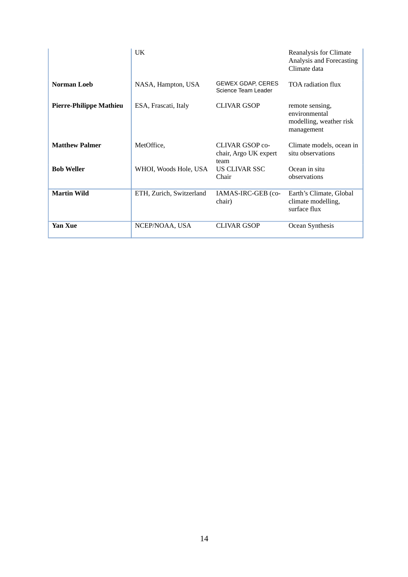|                                | UK                       |                                                         | Reanalysis for Climate<br>Analysis and Forecasting<br>Climate data        |
|--------------------------------|--------------------------|---------------------------------------------------------|---------------------------------------------------------------------------|
| <b>Norman Loeb</b>             | NASA, Hampton, USA       | <b>GEWEX GDAP, CERES</b><br>Science Team Leader         | <b>TOA</b> radiation flux                                                 |
| <b>Pierre-Philippe Mathieu</b> | ESA, Frascati, Italy     | CLIVAR GSOP                                             | remote sensing,<br>environmental<br>modelling, weather risk<br>management |
| <b>Matthew Palmer</b>          | MetOffice,               | <b>CLIVAR GSOP co-</b><br>chair, Argo UK expert<br>team | Climate models, ocean in<br>situ observations                             |
| <b>Bob Weller</b>              | WHOI, Woods Hole, USA    | US CLIVAR SSC<br>Chair                                  | Ocean in situ<br>observations                                             |
| <b>Martin Wild</b>             | ETH, Zurich, Switzerland | IAMAS-IRC-GEB (co-<br>chair)                            | Earth's Climate, Global<br>climate modelling,<br>surface flux             |
| Yan Xue                        | NCEP/NOAA, USA           | CLIVAR GSOP                                             | Ocean Synthesis                                                           |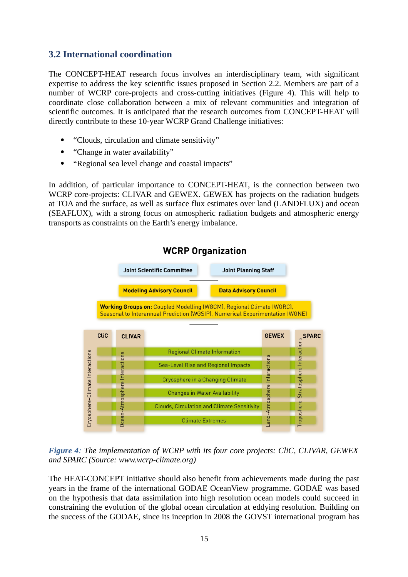# **3.2 International coordination**

The CONCEPT-HEAT research focus involves an interdisciplinary team, with significant expertise to address the key scientific issues proposed in Section 2.2. Members are part of a number of WCRP core-projects and cross-cutting initiatives (Figure 4). This will help to coordinate close collaboration between a mix of relevant communities and integration of scientific outcomes. It is anticipated that the research outcomes from CONCEPT-HEAT will directly contribute to these 10-year WCRP Grand Challenge initiatives:

- "Clouds, circulation and climate sensitivity"
- "Change in water availability"
- "Regional sea level change and coastal impacts"

In addition, of particular importance to CONCEPT-HEAT, is the connection between two WCRP core-projects: CLIVAR and GEWEX. GEWEX has projects on the radiation budgets at TOA and the surface, as well as surface flux estimates over land (LANDFLUX) and ocean (SEAFLUX), with a strong focus on atmospheric radiation budgets and atmospheric energy transports as constraints on the Earth's energy imbalance.



# *Figure 4: The implementation of WCRP with its four core projects: CliC, CLIVAR, GEWEX and SPARC (Source: www.wcrp-climate.org)*

The HEAT-CONCEPT initiative should also benefit from achievements made during the past years in the frame of the international GODAE OceanView programme. GODAE was based on the hypothesis that data assimilation into high resolution ocean models could succeed in constraining the evolution of the global ocean circulation at eddying resolution. Building on the success of the GODAE, since its inception in 2008 the GOVST international program has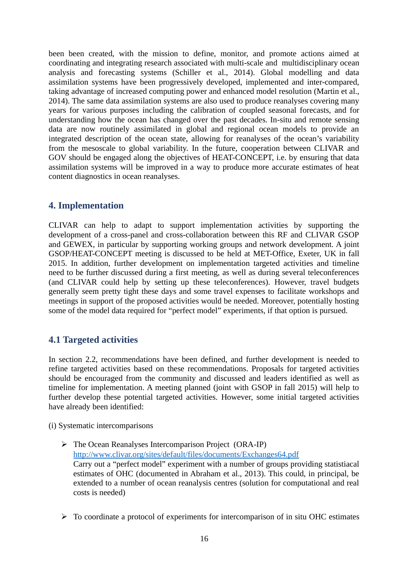been been created, with the mission to define, monitor, and promote actions aimed at coordinating and integrating research associated with multi-scale and multidisciplinary ocean analysis and forecasting systems (Schiller et al., 2014). Global modelling and data assimilation systems have been progressively developed, implemented and inter-compared, taking advantage of increased computing power and enhanced model resolution (Martin et al., 2014). The same data assimilation systems are also used to produce reanalyses covering many years for various purposes including the calibration of coupled seasonal forecasts, and for understanding how the ocean has changed over the past decades. In-situ and remote sensing data are now routinely assimilated in global and regional ocean models to provide an integrated description of the ocean state, allowing for reanalyses of the ocean's variability from the mesoscale to global variability. In the future, cooperation between CLIVAR and GOV should be engaged along the objectives of HEAT-CONCEPT, i.e. by ensuring that data assimilation systems will be improved in a way to produce more accurate estimates of heat content diagnostics in ocean reanalyses.

## **4. Implementation**

CLIVAR can help to adapt to support implementation activities by supporting the development of a cross-panel and cross-collaboration between this RF and CLIVAR GSOP and GEWEX, in particular by supporting working groups and network development. A joint GSOP/HEAT-CONCEPT meeting is discussed to be held at MET-Office, Exeter, UK in fall 2015. In addition, further development on implementation targeted activities and timeline need to be further discussed during a first meeting, as well as during several teleconferences (and CLIVAR could help by setting up these teleconferences). However, travel budgets generally seem pretty tight these days and some travel expenses to facilitate workshops and meetings in support of the proposed activities would be needed. Moreover, potentially hosting some of the model data required for "perfect model" experiments, if that option is pursued.

# **4.1 Targeted activities**

In section 2.2, recommendations have been defined, and further development is needed to refine targeted activities based on these recommendations. Proposals for targeted activities should be encouraged from the community and discussed and leaders identified as well as timeline for implementation. A meeting planned (joint with GSOP in fall 2015) will help to further develop these potential targeted activities. However, some initial targeted activities have already been identified:

(i) Systematic intercomparisons

- The Ocean Reanalyses Intercomparison Project (ORA-IP) <http://www.clivar.org/sites/default/files/documents/Exchanges64.pdf> Carry out a "perfect model" experiment with a number of groups providing statistiacal estimates of OHC (documented in Abraham et al., 2013). This could, in principal, be extended to a number of ocean reanalysis centres (solution for computational and real costs is needed)
- $\triangleright$  To coordinate a protocol of experiments for intercomparison of in situ OHC estimates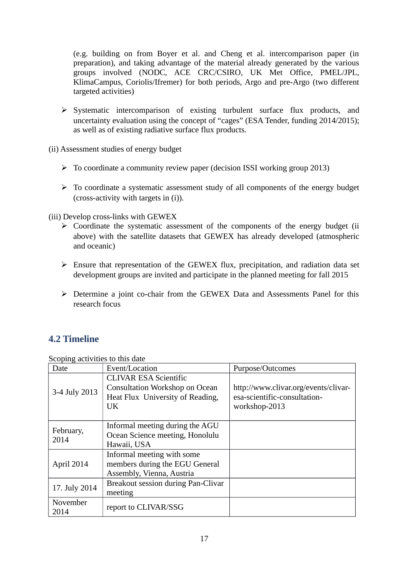(e.g. building on from Boyer et al. and Cheng et al. intercomparison paper (in preparation), and taking advantage of the material already generated by the various groups involved (NODC, ACE CRC/CSIRO, UK Met Office, PMEL/JPL, KlimaCampus, Coriolis/Ifremer) for both periods, Argo and pre-Argo (two different targeted activities)

 $\triangleright$  Systematic intercomparison of existing turbulent surface flux products, and uncertainty evaluation using the concept of "cages" (ESA Tender, funding 2014/2015); as well as of existing radiative surface flux products.

(ii) Assessment studies of energy budget

- $\triangleright$  To coordinate a community review paper (decision ISSI working group 2013)
- $\triangleright$  To coordinate a systematic assessment study of all components of the energy budget (cross-activity with targets in (i)).

(iii) Develop cross-links with GEWEX

- $\triangleright$  Coordinate the systematic assessment of the components of the energy budget (ii) above) with the satellite datasets that GEWEX has already developed (atmospheric and oceanic)
- $\triangleright$  Ensure that representation of the GEWEX flux, precipitation, and radiation data set development groups are invited and participate in the planned meeting for fall 2015
- Determine a joint co-chair from the GEWEX Data and Assessments Panel for this research focus

# **4.2 Timeline**

Scoping activities to this date

| ----o<br>Date     | Event/Location                                                                                                   | Purpose/Outcomes                                                                      |
|-------------------|------------------------------------------------------------------------------------------------------------------|---------------------------------------------------------------------------------------|
| 3-4 July 2013     | <b>CLIVAR ESA Scientific</b><br><b>Consultation Workshop on Ocean</b><br>Heat Flux University of Reading,<br>UK. | http://www.clivar.org/events/clivar-<br>esa-scientific-consultation-<br>workshop-2013 |
| February,<br>2014 | Informal meeting during the AGU<br>Ocean Science meeting, Honolulu<br>Hawaii, USA                                |                                                                                       |
| April 2014        | Informal meeting with some<br>members during the EGU General<br>Assembly, Vienna, Austria                        |                                                                                       |
| 17. July 2014     | Breakout session during Pan-Clivar<br>meeting                                                                    |                                                                                       |
| November<br>2014  | report to CLIVAR/SSG                                                                                             |                                                                                       |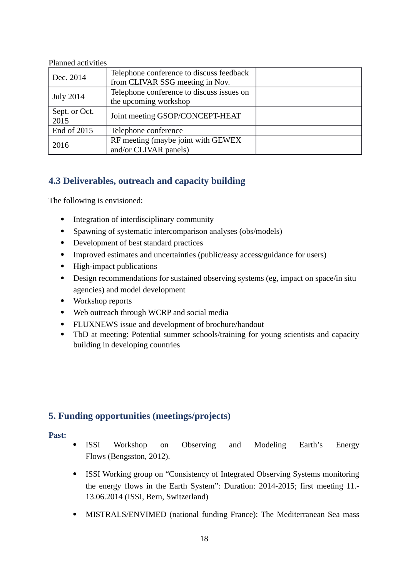### Planned activities

| Dec. 2014             | Telephone conference to discuss feedback<br>from CLIVAR SSG meeting in Nov. |  |
|-----------------------|-----------------------------------------------------------------------------|--|
| <b>July 2014</b>      | Telephone conference to discuss issues on<br>the upcoming workshop          |  |
| Sept. or Oct.<br>2015 | Joint meeting GSOP/CONCEPT-HEAT                                             |  |
| End of 2015           | Telephone conference                                                        |  |
| 2016                  | RF meeting (maybe joint with GEWEX<br>and/or CLIVAR panels)                 |  |

# **4.3 Deliverables, outreach and capacity building**

The following is envisioned:

- Integration of interdisciplinary community
- Spawning of systematic intercomparison analyses (obs/models)
- Development of best standard practices
- Improved estimates and uncertainties (public/easy access/guidance for users)
- High-impact publications
- Design recommendations for sustained observing systems (eg, impact on space/in situ agencies) and model development
- Workshop reports
- Web outreach through WCRP and social media
- FLUXNEWS issue and development of brochure/handout
- TbD at meeting: Potential summer schools/training for young scientists and capacity building in developing countries

### **5. Funding opportunities (meetings/projects)**

#### **Past:**

- ISSI Workshop on Observing and Modeling Earth's Energy Flows (Bengsston, 2012).
- ISSI Working group on "Consistency of Integrated Observing Systems monitoring the energy flows in the Earth System": Duration: 2014-2015; first meeting 11.- 13.06.2014 (ISSI, Bern, Switzerland)
- MISTRALS/ENVIMED (national funding France): The Mediterranean Sea mass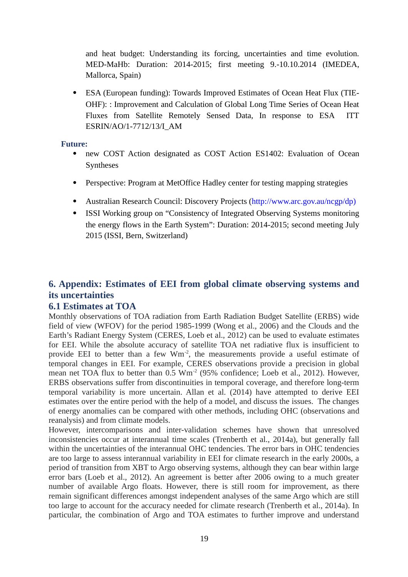and heat budget: Understanding its forcing, uncertainties and time evolution. MED-MaHb: Duration: 2014-2015; first meeting 9.-10.10.2014 (IMEDEA, Mallorca, Spain)

 ESA (European funding): Towards Improved Estimates of Ocean Heat Flux (TIE-OHF): : Improvement and Calculation of Global Long Time Series of Ocean Heat Fluxes from Satellite Remotely Sensed Data, In response to ESA ITT ESRIN/AO/1-7712/13/I\_AM

#### **Future:**

- new COST Action designated as COST Action ES1402: Evaluation of Ocean Syntheses
- Perspective: Program at MetOffice Hadley center for testing mapping strategies
- Australian Research Council: Discovery Projects (http://www.arc.gov.au/ncgp/dp)
- ISSI Working group on "Consistency of Integrated Observing Systems monitoring the energy flows in the Earth System": Duration: 2014-2015; second meeting July 2015 (ISSI, Bern, Switzerland)

# **6. Appendix: Estimates of EEI from global climate observing systems and its uncertainties**

### **6.1 Estimates at TOA**

Monthly observations of TOA radiation from Earth Radiation Budget Satellite (ERBS) wide field of view (WFOV) for the period 1985-1999 (Wong et al., 2006) and the Clouds and the Earth's Radiant Energy System (CERES, Loeb et al., 2012) can be used to evaluate estimates for EEI. While the absolute accuracy of satellite TOA net radiative flux is insufficient to provide EEI to better than a few  $\text{Wm}^{-2}$ , the measurements provide a useful estimate of temporal changes in EEI. For example, CERES observations provide a precision in global mean net TOA flux to better than  $0.5 \text{ Wm}^2$  (95% confidence; Loeb et al., 2012). However, ERBS observations suffer from discontinuities in temporal coverage, and therefore long-term temporal variability is more uncertain. Allan et al. (2014) have attempted to derive EEI estimates over the entire period with the help of a model, and discuss the issues. The changes of energy anomalies can be compared with other methods, including OHC (observations and reanalysis) and from climate models.

However, intercomparisons and inter-validation schemes have shown that unresolved inconsistencies occur at interannual time scales (Trenberth et al., 2014a), but generally fall within the uncertainties of the interannual OHC tendencies. The error bars in OHC tendencies are too large to assess interannual variability in EEI for climate research in the early 2000s, a period of transition from XBT to Argo observing systems, although they can bear within large error bars (Loeb et al., 2012). An agreement is better after 2006 owing to a much greater number of available Argo floats. However, there is still room for improvement, as there remain significant differences amongst independent analyses of the same Argo which are still too large to account for the accuracy needed for climate research (Trenberth et al., 2014a). In particular, the combination of Argo and TOA estimates to further improve and understand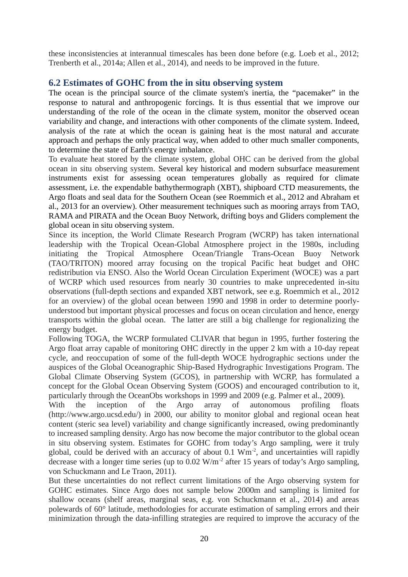these inconsistencies at interannual timescales has been done before (e.g. Loeb et al., 2012; Trenberth et al., 2014a; Allen et al., 2014), and needs to be improved in the future.

### **6.2 Estimates of GOHC from the in situ observing system**

The ocean is the principal source of the climate system's inertia, the "pacemaker" in the response to natural and anthropogenic forcings. It is thus essential that we improve our understanding of the role of the ocean in the climate system, monitor the observed ocean variability and change, and interactions with other components of the climate system. Indeed, analysis of the rate at which the ocean is gaining heat is the most natural and accurate approach and perhaps the only practical way, when added to other much smaller components, to determine the state of Earth's energy imbalance.

To evaluate heat stored by the climate system, global OHC can be derived from the global ocean in situ observing system. Several key historical and modern subsurface measurement instruments exist for assessing ocean temperatures globally as required for climate assessment, i.e. the expendable bathythermograph (XBT), shipboard CTD measurements, the Argo floats and seal data for the Southern Ocean (see Roemmich et al., 2012 and Abraham et al., 2013 for an overview). Other measurement techniques such as mooring arrays from TAO, RAMA and PIRATA and the Ocean Buoy Network, drifting boys and Gliders complement the global ocean in situ observing system.

Since its inception, the World Climate Research Program (WCRP) has taken international leadership with the Tropical Ocean-Global Atmosphere project in the 1980s, including initiating the Tropical Atmosphere Ocean/Triangle Trans-Ocean Buoy Network (TAO/TRITON) moored array focusing on the tropical Pacific heat budget and OHC redistribution via ENSO. Also the World Ocean Circulation Experiment (WOCE) was a part of WCRP which used resources from nearly 30 countries to make unprecedented in-situ observations (full-depth sections and expanded XBT network, see e.g. Roemmich et al., 2012 for an overview) of the global ocean between 1990 and 1998 in order to determine poorlyunderstood but important physical processes and focus on ocean circulation and hence, energy transports within the global ocean. The latter are still a big challenge for regionalizing the energy budget.

Following TOGA, the WCRP formulated CLIVAR that begun in 1995, further fostering the Argo float array capable of monitoring OHC directly in the upper 2 km with a 10-day repeat cycle, and reoccupation of some of the full-depth WOCE hydrographic sections under the auspices of the Global Oceanographic Ship-Based Hydrographic Investigations Program. The Global Climate Observing System (GCOS), in partnership with WCRP, has formulated a concept for the Global Ocean Observing System (GOOS) and encouraged contribution to it, particularly through the OceanObs workshops in 1999 and 2009 (e.g. Palmer et al., 2009).

With the inception of the Argo array of autonomous profiling floats (http://www.argo.ucsd.edu/) in 2000, our ability to monitor global and regional ocean heat content (steric sea level) variability and change significantly increased, owing predominantly to increased sampling density. Argo has now become the major contributor to the global ocean in situ observing system. Estimates for GOHC from today's Argo sampling, were it truly global, could be derived with an accuracy of about  $0.1 \text{ Wm}^2$ , and uncertainties will rapidly decrease with a longer time series (up to  $0.02$  W/m<sup>-2</sup> after 15 years of today's Argo sampling, von Schuckmann and Le Traon, 2011).

But these uncertainties do not reflect current limitations of the Argo observing system for GOHC estimates. Since Argo does not sample below 2000m and sampling is limited for shallow oceans (shelf areas, marginal seas, e.g. von Schuckmann et al., 2014) and areas polewards of 60° latitude, methodologies for accurate estimation of sampling errors and their minimization through the data-infilling strategies are required to improve the accuracy of the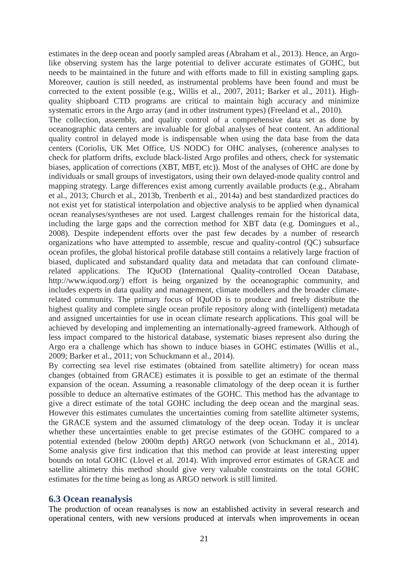estimates in the deep ocean and poorly sampled areas (Abraham et al., 2013). Hence, an Argolike observing system has the large potential to deliver accurate estimates of GOHC, but needs to be maintained in the future and with efforts made to fill in existing sampling gaps. Moreover, caution is still needed, as instrumental problems have been found and must be corrected to the extent possible (e.g., Willis et al., 2007, 2011; Barker et al., 2011). Highquality shipboard CTD programs are critical to maintain high accuracy and minimize systematic errors in the Argo array (and in other instrument types) (Freeland et al., 2010). The collection, assembly, and quality control of a comprehensive data set as done by oceanographic data centers are invaluable for global analyses of heat content. An additional quality control in delayed mode is indispensable when using the data base from the data centers (Coriolis, UK Met Office, US NODC) for OHC analyses, (coherence analyses to check for platform drifts, exclude black-listed Argo profiles and others, check for systematic biases, application of corrections (XBT, MBT, etc)). Most of the analyses of OHC are done by individuals or small groups of investigators, using their own delayed-mode quality control and mapping strategy. Large differences exist among currently available products (e.g., Abraham et al., 2013; Church et al., 2013b, Trenberth et al., 2014a) and best standardized practices do not exist yet for statistical interpolation and objective analysis to be applied when dynamical ocean reanalyses/syntheses are not used. Largest challenges remain for the historical data, including the large gaps and the correction method for XBT data (e.g. Domingues et al., 2008). Despite independent efforts over the past few decades by a number of research organizations who have attempted to assemble, rescue and quality-control (QC) subsurface ocean profiles, the global historical profile database still contains a relatively large fraction of biased, duplicated and substandard quality data and metadata that can confound climaterelated applications. The IQuOD (International Quality-controlled Ocean Database, http://www.iquod.org/) effort is being organized by the oceanographic community, and includes experts in data quality and management, climate modellers and the broader climaterelated community. The primary focus of IQuOD is to produce and freely distribute the highest quality and complete single ocean profile repository along with (intelligent) metadata and assigned uncertainties for use in ocean climate research applications. This goal will be achieved by developing and implementing an internationally-agreed framework. Although of less impact compared to the historical database, systematic biases represent also during the Argo era a challenge which has shown to induce biases in GOHC estimates (Willis et al., 2009; Barker et al., 2011; von Schuckmann et al., 2014).

By correcting sea level rise estimates (obtained from satellite altimetry) for ocean mass changes (obtained from GRACE) estimates it is possible to get an estimate of the thermal expansion of the ocean. Assuming a reasonable climatology of the deep ocean it is further possible to deduce an alternative estimates of the GOHC. This method has the advantage to give a direct estimate of the total GOHC including the deep ocean and the marginal seas. However this estimates cumulates the uncertainties coming from satellite altimeter systems, the GRACE system and the assumed climatology of the deep ocean. Today it is unclear whether these uncertainties enable to get precise estimates of the GOHC compared to a potential extended (below 2000m depth) ARGO network (von Schuckmann et al., 2014). Some analysis give first indication that this method can provide at least interesting upper bounds on total GOHC (Llovel et al. 2014). With improved error estimates of GRACE and satellite altimetry this method should give very valuable constraints on the total GOHC estimates for the time being as long as ARGO network is still limited.

### **6.3 Ocean reanalysis**

The production of ocean reanalyses is now an established activity in several research and operational centers, with new versions produced at intervals when improvements in ocean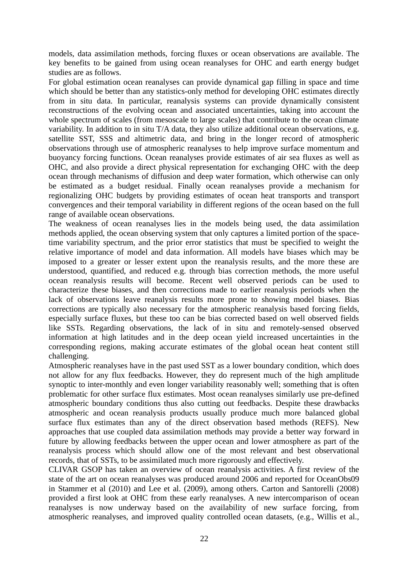models, data assimilation methods, forcing fluxes or ocean observations are available. The key benefits to be gained from using ocean reanalyses for OHC and earth energy budget studies are as follows.

For global estimation ocean reanalyses can provide dynamical gap filling in space and time which should be better than any statistics-only method for developing OHC estimates directly from in situ data. In particular, reanalysis systems can provide dynamically consistent reconstructions of the evolving ocean and associated uncertainties, taking into account the whole spectrum of scales (from mesoscale to large scales) that contribute to the ocean climate variability. In addition to in situ T/A data, they also utilize additional ocean observations, e.g. satellite SST, SSS and altimetric data, and bring in the longer record of atmospheric observations through use of atmospheric reanalyses to help improve surface momentum and buoyancy forcing functions. Ocean reanalyses provide estimates of air sea fluxes as well as OHC, and also provide a direct physical representation for exchanging OHC with the deep ocean through mechanisms of diffusion and deep water formation, which otherwise can only be estimated as a budget residual. Finally ocean reanalyses provide a mechanism for regionalizing OHC budgets by providing estimates of ocean heat transports and transport convergences and their temporal variability in different regions of the ocean based on the full range of available ocean observations.

The weakness of ocean reanalyses lies in the models being used, the data assimilation methods applied, the ocean observing system that only captures a limited portion of the spacetime variability spectrum, and the prior error statistics that must be specified to weight the relative importance of model and data information. All models have biases which may be imposed to a greater or lesser extent upon the reanalysis results, and the more these are understood, quantified, and reduced e.g. through bias correction methods, the more useful ocean reanalysis results will become. Recent well observed periods can be used to characterize these biases, and then corrections made to earlier reanalysis periods when the lack of observations leave reanalysis results more prone to showing model biases. Bias corrections are typically also necessary for the atmospheric reanalysis based forcing fields, especially surface fluxes, but these too can be bias corrected based on well observed fields like SSTs. Regarding observations, the lack of in situ and remotely-sensed observed information at high latitudes and in the deep ocean yield increased uncertainties in the corresponding regions, making accurate estimates of the global ocean heat content still challenging.

Atmospheric reanalyses have in the past used SST as a lower boundary condition, which does not allow for any flux feedbacks. However, they do represent much of the high amplitude synoptic to inter-monthly and even longer variability reasonably well; something that is often problematic for other surface flux estimates. Most ocean reanalyses similarly use pre-defined atmospheric boundary conditions thus also cutting out feedbacks. Despite these drawbacks atmospheric and ocean reanalysis products usually produce much more balanced global surface flux estimates than any of the direct observation based methods (REFS). New approaches that use coupled data assimilation methods may provide a better way forward in future by allowing feedbacks between the upper ocean and lower atmosphere as part of the reanalysis process which should allow one of the most relevant and best observational records, that of SSTs, to be assimilated much more rigorously and effectively.

CLIVAR GSOP has taken an overview of ocean reanalysis activities. A first review of the state of the art on ocean reanalyses was produced around 2006 and reported for OceanObs09 in Stammer et al (2010) and Lee et al. (2009), among others. Carton and Santorelli (2008) provided a first look at OHC from these early reanalyses. A new intercomparison of ocean reanalyses is now underway based on the availability of new surface forcing, from atmospheric reanalyses, and improved quality controlled ocean datasets, (e.g., Willis et al.,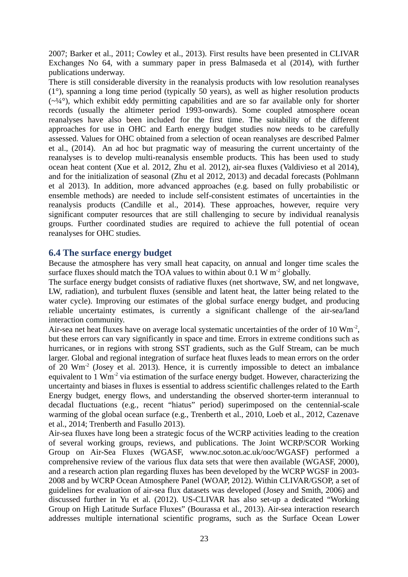2007; Barker et al., 2011; Cowley et al., 2013). First results have been presented in CLIVAR Exchanges No 64, with a summary paper in press Balmaseda et al (2014), with further publications underway.

There is still considerable diversity in the reanalysis products with low resolution reanalyses (1°), spanning a long time period (typically 50 years), as well as higher resolution products  $(\sim\frac{1}{4})$ , which exhibit eddy permitting capabilities and are so far available only for shorter records (usually the altimeter period 1993-onwards). Some coupled atmosphere ocean reanalyses have also been included for the first time. The suitability of the different approaches for use in OHC and Earth energy budget studies now needs to be carefully assessed. Values for OHC obtained from a selection of ocean reanalyses are described Palmer et al., (2014). An ad hoc but pragmatic way of measuring the current uncertainty of the reanalyses is to develop multi-reanalysis ensemble products. This has been used to study ocean heat content (Xue et al. 2012, Zhu et al. 2012), air-sea fluxes (Valdivieso et al 2014), and for the initialization of seasonal (Zhu et al 2012, 2013) and decadal forecasts (Pohlmann et al 2013). In addition, more advanced approaches (e.g. based on fully probabilistic or ensemble methods) are needed to include self-consistent estimates of uncertainties in the reanalysis products (Candille et al., 2014). These approaches, however, require very significant computer resources that are still challenging to secure by individual reanalysis groups. Further coordinated studies are required to achieve the full potential of ocean reanalyses for OHC studies.

### **6.4 The surface energy budget**

Because the atmosphere has very small heat capacity, on annual and longer time scales the surface fluxes should match the TOA values to within about  $0.1 \text{ W m}^{-2}$  globally.

The surface energy budget consists of radiative fluxes (net shortwave, SW, and net longwave, LW, radiation), and turbulent fluxes (sensible and latent heat, the latter being related to the water cycle). Improving our estimates of the global surface energy budget, and producing reliable uncertainty estimates, is currently a significant challenge of the air-sea/land interaction community.

Air-sea net heat fluxes have on average local systematic uncertainties of the order of 10  $\text{Wm}^2$ , but these errors can vary significantly in space and time. Errors in extreme conditions such as hurricanes, or in regions with strong SST gradients, such as the Gulf Stream, can be much larger. Global and regional integration of surface heat fluxes leads to mean errors on the order of 20 Wm-2 (Josey et al. 2013). Hence, it is currently impossible to detect an imbalance equivalent to 1 Wm<sup>-2</sup> via estimation of the surface energy budget. However, characterizing the uncertainty and biases in fluxes is essential to address scientific challenges related to the Earth Energy budget, energy flows, and understanding the observed shorter-term interannual to decadal fluctuations (e.g., recent "hiatus" period) superimposed on the centennial-scale warming of the global ocean surface (e.g., Trenberth et al., 2010, Loeb et al., 2012, Cazenave et al., 2014; Trenberth and Fasullo 2013).

Air-sea fluxes have long been a strategic focus of the WCRP activities leading to the creation of several working groups, reviews, and publications. The Joint WCRP/SCOR Working Group on Air-Sea Fluxes (WGASF, www.noc.soton.ac.uk/ooc/WGASF) performed a comprehensive review of the various flux data sets that were then available (WGASF, 2000), and a research action plan regarding fluxes has been developed by the WCRP WGSF in 2003- 2008 and by WCRP Ocean Atmosphere Panel (WOAP, 2012). Within CLIVAR/GSOP, a set of guidelines for evaluation of air-sea flux datasets was developed (Josey and Smith, 2006) and discussed further in Yu et al. (2012). US-CLIVAR has also set-up a dedicated "Working Group on High Latitude Surface Fluxes" (Bourassa et al., 2013). Air-sea interaction research addresses multiple international scientific programs, such as the Surface Ocean Lower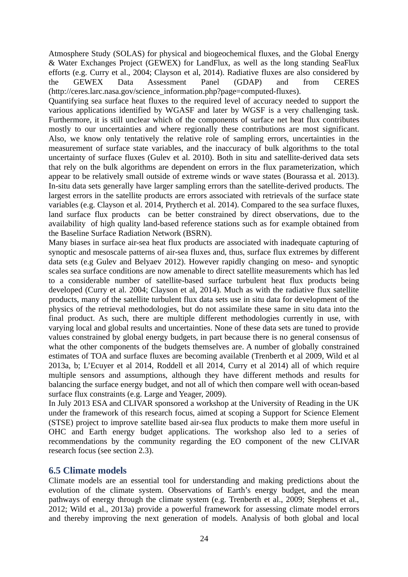Atmosphere Study (SOLAS) for physical and biogeochemical fluxes, and the Global Energy & Water Exchanges Project (GEWEX) for LandFlux, as well as the long standing SeaFlux efforts (e.g. Curry et al., 2004; Clayson et al, 2014). Radiative fluxes are also considered by the GEWEX Data Assessment Panel (GDAP) and from CERES (http://ceres.larc.nasa.gov/science\_information.php?page=computed-fluxes).

Quantifying sea surface heat fluxes to the required level of accuracy needed to support the various applications identified by WGASF and later by WGSF is a very challenging task. Furthermore, it is still unclear which of the components of surface net heat flux contributes mostly to our uncertainties and where regionally these contributions are most significant. Also, we know only tentatively the relative role of sampling errors, uncertainties in the measurement of surface state variables, and the inaccuracy of bulk algorithms to the total uncertainty of surface fluxes (Gulev et al. 2010). Both in situ and satellite-derived data sets that rely on the bulk algorithms are dependent on errors in the flux parameterization, which appear to be relatively small outside of extreme winds or wave states (Bourassa et al. 2013). In-situ data sets generally have larger sampling errors than the satellite-derived products. The largest errors in the satellite products are errors associated with retrievals of the surface state variables (e.g. Clayson et al. 2014, Prytherch et al. 2014). Compared to the sea surface fluxes, land surface flux products can be better constrained by direct observations, due to the availability of high quality land-based reference stations such as for example obtained from the Baseline Surface Radiation Network (BSRN).

Many biases in surface air-sea heat flux products are associated with inadequate capturing of synoptic and mesoscale patterns of air-sea fluxes and, thus, surface flux extremes by different data sets (e.g Gulev and Belyaev 2012). However rapidly changing on meso- and synoptic scales sea surface conditions are now amenable to direct satellite measurements which has led to a considerable number of satellite-based surface turbulent heat flux products being developed (Curry et al. 2004; Clayson et al, 2014). Much as with the radiative flux satellite products, many of the satellite turbulent flux data sets use in situ data for development of the physics of the retrieval methodologies, but do not assimilate these same in situ data into the final product. As such, there are multiple different methodologies currently in use, with varying local and global results and uncertainties. None of these data sets are tuned to provide values constrained by global energy budgets, in part because there is no general consensus of what the other components of the budgets themselves are. A number of globally constrained estimates of TOA and surface fluxes are becoming available (Trenberth et al 2009, Wild et al 2013a, b; L'Ecuyer et al 2014, Roddell et all 2014, Curry et al 2014) all of which require multiple sensors and assumptions, although they have different methods and results for balancing the surface energy budget, and not all of which then compare well with ocean-based surface flux constraints (e.g. Large and Yeager, 2009).

In July 2013 ESA and CLIVAR sponsored a workshop at the University of Reading in the UK under the framework of this research focus, aimed at scoping a Support for Science Element (STSE) project to improve satellite based air-sea flux products to make them more useful in OHC and Earth energy budget applications. The workshop also led to a series of recommendations by the community regarding the EO component of the new CLIVAR research focus (see section 2.3).

### **6.5 Climate models**

Climate models are an essential tool for understanding and making predictions about the evolution of the climate system. Observations of Earth's energy budget, and the mean pathways of energy through the climate system (e.g. Trenberth et al., 2009; Stephens et al., 2012; Wild et al., 2013a) provide a powerful framework for assessing climate model errors and thereby improving the next generation of models. Analysis of both global and local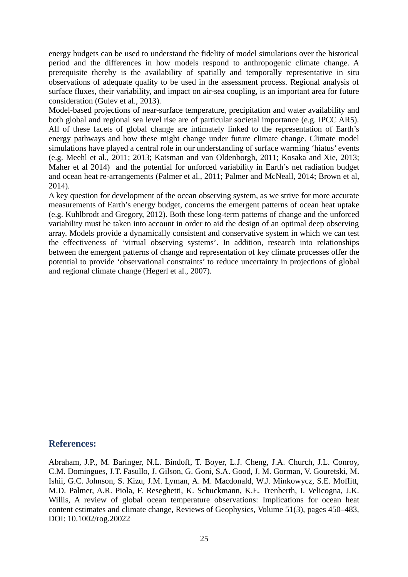energy budgets can be used to understand the fidelity of model simulations over the historical period and the differences in how models respond to anthropogenic climate change. A prerequisite thereby is the availability of spatially and temporally representative in situ observations of adequate quality to be used in the assessment process. Regional analysis of surface fluxes, their variability, and impact on air-sea coupling, is an important area for future consideration (Gulev et al., 2013).

Model-based projections of near-surface temperature, precipitation and water availability and both global and regional sea level rise are of particular societal importance (e.g. IPCC AR5). All of these facets of global change are intimately linked to the representation of Earth's energy pathways and how these might change under future climate change. Climate model simulations have played a central role in our understanding of surface warming 'hiatus' events (e.g. Meehl et al., 2011; 2013; Katsman and van Oldenborgh, 2011; Kosaka and Xie, 2013; Maher et al 2014) and the potential for unforced variability in Earth's net radiation budget and ocean heat re-arrangements (Palmer et al., 2011; Palmer and McNeall, 2014; Brown et al, 2014).

A key question for development of the ocean observing system, as we strive for more accurate measurements of Earth's energy budget, concerns the emergent patterns of ocean heat uptake (e.g. Kuhlbrodt and Gregory, 2012). Both these long-term patterns of change and the unforced variability must be taken into account in order to aid the design of an optimal deep observing array. Models provide a dynamically consistent and conservative system in which we can test the effectiveness of 'virtual observing systems'. In addition, research into relationships between the emergent patterns of change and representation of key climate processes offer the potential to provide 'observational constraints' to reduce uncertainty in projections of global and regional climate change (Hegerl et al., 2007).

### **References:**

Abraham, J.P., M. Baringer, N.L. Bindoff, T. Boyer, L.J. Cheng, J.A. Church, J.L. Conroy, C.M. Domingues, J.T. Fasullo, J. Gilson, G. Goni, S.A. Good, J. M. Gorman, V. Gouretski, M. Ishii, G.C. Johnson, S. Kizu, J.M. Lyman, A. M. Macdonald, W.J. Minkowycz, S.E. Moffitt, M.D. Palmer, A.R. Piola, F. Reseghetti, K. Schuckmann, K.E. Trenberth, I. Velicogna, J.K. Willis, A review of global ocean temperature observations: Implications for ocean heat content estimates and climate change, Reviews of Geophysics, Volume 51(3), pages 450–483, DOI: 10.1002/rog.20022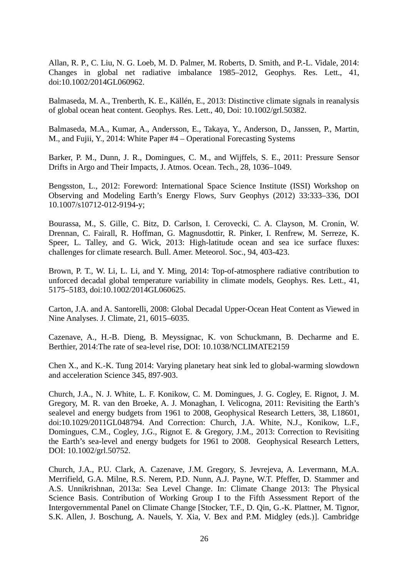Allan, R. P., C. Liu, N. G. Loeb, M. D. Palmer, M. Roberts, D. Smith, and P.-L. Vidale, 2014: Changes in global net radiative imbalance 1985–2012, Geophys. Res. Lett., 41, doi:10.1002/2014GL060962.

Balmaseda, M. A., Trenberth, K. E., Källén, E., 2013: Distinctive climate signals in reanalysis of global ocean heat content. Geophys. Res. Lett., 40, Doi: 10.1002/grl.50382.

Balmaseda, M.A., Kumar, A., Andersson, E., Takaya, Y., Anderson, D., Janssen, P., Martin, M., and Fujii, Y., 2014: White Paper #4 – Operational Forecasting Systems

Barker, P. M., Dunn, J. R., Domingues, C. M., and Wijffels, S. E., 2011: Pressure Sensor Drifts in Argo and Their Impacts, J. Atmos. Ocean. Tech., 28, 1036–1049.

Bengsston, L., 2012: Foreword: International Space Science Institute (ISSI) Workshop on Observing and Modeling Earth's Energy Flows, Surv Geophys (2012) 33:333–336, DOI 10.1007/s10712-012-9194-y;

Bourassa, M., S. Gille, C. Bitz, D. Carlson, I. Cerovecki, C. A. Clayson, M. Cronin, W. Drennan, C. Fairall, R. Hoffman, G. Magnusdottir, R. Pinker, I. Renfrew, M. Serreze, K. Speer, L. Talley, and G. Wick, 2013: High-latitude ocean and sea ice surface fluxes: challenges for climate research. Bull. Amer. Meteorol. Soc., 94, 403-423.

Brown, P. T., W. Li, L. Li, and Y. Ming, 2014: Top-of-atmosphere radiative contribution to unforced decadal global temperature variability in climate models, Geophys. Res. Lett., 41, 5175–5183, doi:10.1002/2014GL060625.

Carton, J.A. and A. Santorelli, 2008: Global Decadal Upper-Ocean Heat Content as Viewed in Nine Analyses. J. Climate, 21, 6015–6035.

Cazenave, A., H.-B. Dieng, B. Meyssignac, K. von Schuckmann, B. Decharme and E. Berthier, 2014:The rate of sea-level rise, DOI: 10.1038/NCLIMATE2159

Chen X., and K.-K. Tung 2014: Varying planetary heat sink led to global-warming slowdown and acceleration Science 345, 897-903.

Church, J.A., N. J. White, L. F. Konikow, C. M. Domingues, J. G. Cogley, E. Rignot, J. M. Gregory, M. R. van den Broeke, A. J. Monaghan, I. Velicogna, 2011: Revisiting the Earth's sealevel and energy budgets from 1961 to 2008, Geophysical Research Letters, 38, L18601, doi:10.1029/2011GL048794. And Correction: Church, J.A. White, N.J., Konikow, L.F., Domingues, C.M., Cogley, J.G., Rignot E. & Gregory, J.M., 2013: Correction to Revisiting the Earth's sea-level and energy budgets for 1961 to 2008. Geophysical Research Letters, DOI: 10.1002/grl.50752.

Church, J.A., P.U. Clark, A. Cazenave, J.M. Gregory, S. Jevrejeva, A. Levermann, M.A. Merrifield, G.A. Milne, R.S. Nerem, P.D. Nunn, A.J. Payne, W.T. Pfeffer, D. Stammer and A.S. Unnikrishnan, 2013a: Sea Level Change. In: Climate Change 2013: The Physical Science Basis. Contribution of Working Group I to the Fifth Assessment Report of the Intergovernmental Panel on Climate Change [Stocker, T.F., D. Qin, G.-K. Plattner, M. Tignor, S.K. Allen, J. Boschung, A. Nauels, Y. Xia, V. Bex and P.M. Midgley (eds.)]. Cambridge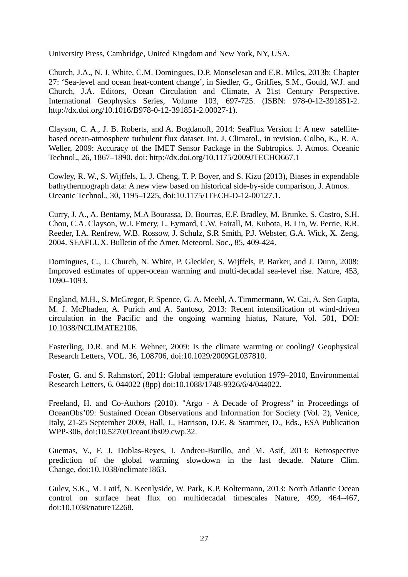University Press, Cambridge, United Kingdom and New York, NY, USA.

Church, J.A., N. J. White, C.M. Domingues, D.P. Monselesan and E.R. Miles, 2013b: Chapter 27: 'Sea-level and ocean heat-content change', in Siedler, G., Griffies, S.M., Gould, W.J. and Church, J.A. Editors, Ocean Circulation and Climate, A 21st Century Perspective. International Geophysics Series, Volume 103, 697-725. (ISBN: 978-0-12-391851-2. http://dx.doi.org/10.1016/B978-0-12-391851-2.00027-1).

Clayson, C. A., J. B. Roberts, and A. Bogdanoff, 2014: SeaFlux Version 1: A new satellitebased ocean-atmosphere turbulent flux dataset. Int. J. Climatol., in revision. Colbo, K., R. A. Weller, 2009: Accuracy of the IMET Sensor Package in the Subtropics. J. Atmos. Oceanic Technol., 26, 1867–1890. doi: http://dx.doi.org/10.1175/2009JTECHO667.1

Cowley, R. W., S. Wijffels, L. J. Cheng, T. P. Boyer, and S. Kizu (2013), Biases in expendable bathythermograph data: A new view based on historical side-by-side comparison, J. Atmos. Oceanic Technol., 30, 1195–1225, doi:10.1175/JTECH-D-12-00127.1.

Curry, J. A., A. Bentamy, M.A Bourassa, D. Bourras, E.F. Bradley, M. Brunke, S. Castro, S.H. Chou, C.A. Clayson, W.J. Emery, L. Eymard, C.W. Fairall, M. Kubota, B. Lin, W. Perrie, R.R. Reeder, I.A. Renfrew, W.B. Rossow, J. Schulz, S.R Smith, P.J. Webster, G.A. Wick, X. Zeng, 2004. SEAFLUX. Bulletin of the Amer. Meteorol. Soc., 85, 409-424.

Domingues, C., J. Church, N. White, P. Gleckler, S. Wijffels, P. Barker, and J. Dunn, 2008: Improved estimates of upper-ocean warming and multi-decadal sea-level rise. Nature, 453, 1090–1093.

England, M.H., S. McGregor, P. Spence, G. A. Meehl, A. Timmermann, W. Cai, A. Sen Gupta, M. J. McPhaden, A. Purich and A. Santoso, 2013: Recent intensification of wind-driven circulation in the Pacific and the ongoing warming hiatus, Nature, Vol. 501, DOI: 10.1038/NCLIMATE2106.

Easterling, D.R. and M.F. Wehner, 2009: Is the climate warming or cooling? Geophysical Research Letters, VOL. 36, L08706, doi:10.1029/2009GL037810.

Foster, G. and S. Rahmstorf, 2011: Global temperature evolution 1979–2010, Environmental Research Letters, 6, 044022 (8pp) doi:10.1088/1748-9326/6/4/044022.

Freeland, H. and Co-Authors (2010). "Argo - A Decade of Progress" in Proceedings of OceanObs'09: Sustained Ocean Observations and Information for Society (Vol. 2), Venice, Italy, 21-25 September 2009, Hall, J., Harrison, D.E. & Stammer, D., Eds., ESA Publication WPP-306, doi:10.5270/OceanObs09.cwp.32.

Guemas, V., F. J. Doblas-Reyes, I. Andreu-Burillo, and M. Asif, 2013: Retrospective prediction of the global warming slowdown in the last decade. Nature Clim. Change, doi:10.1038/nclimate1863.

Gulev, S.K., M. Latif, N. Keenlyside, W. Park, K.P. Koltermann, 2013: North Atlantic Ocean control on surface heat flux on multidecadal timescales Nature, 499, 464–467, doi:10.1038/nature12268.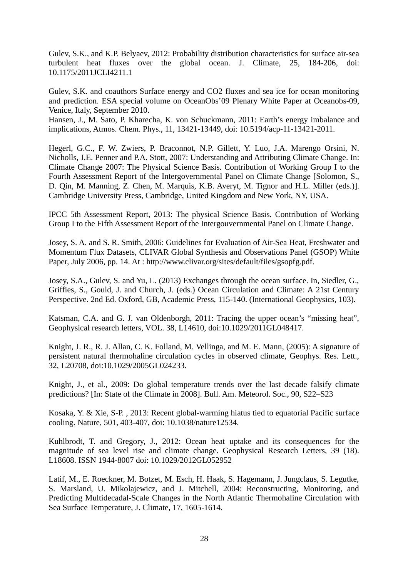Gulev, S.K., and K.P. Belyaev, 2012: Probability distribution characteristics for surface air-sea turbulent heat fluxes over the global ocean. J. Climate, 25, 184-206, doi: 10.1175/2011JCLI4211.1

Gulev, S.K. and coauthors Surface energy and CO2 fluxes and sea ice for ocean monitoring and prediction. ESA special volume on OceanObs'09 Plenary White Paper at Oceanobs-09, Venice, Italy, September 2010.

Hansen, J., M. Sato, P. Kharecha, K. von Schuckmann, 2011: Earth's energy imbalance and implications, Atmos. Chem. Phys., 11, 13421-13449, doi: 10.5194/acp-11-13421-2011.

Hegerl, G.C., F. W. Zwiers, P. Braconnot, N.P. Gillett, Y. Luo, J.A. Marengo Orsini, N. Nicholls, J.E. Penner and P.A. Stott, 2007: Understanding and Attributing Climate Change. In: Climate Change 2007: The Physical Science Basis. Contribution of Working Group I to the Fourth Assessment Report of the Intergovernmental Panel on Climate Change [Solomon, S., D. Qin, M. Manning, Z. Chen, M. Marquis, K.B. Averyt, M. Tignor and H.L. Miller (eds.)]. Cambridge University Press, Cambridge, United Kingdom and New York, NY, USA.

IPCC 5th Assessment Report, 2013: The physical Science Basis. Contribution of Working Group I to the Fifth Assessment Report of the Intergouvernmental Panel on Climate Change.

Josey, S. A. and S. R. Smith, 2006: Guidelines for Evaluation of Air-Sea Heat, Freshwater and Momentum Flux Datasets, CLIVAR Global Synthesis and Observations Panel (GSOP) White Paper, July 2006, pp. 14. At : http://www.clivar.org/sites/default/files/gsopfg.pdf.

Josey, S.A., Gulev, S. and Yu, L. (2013) Exchanges through the ocean surface. In, Siedler, G., Griffies, S., Gould, J. and Church, J. (eds.) Ocean Circulation and Climate: A 21st Century Perspective. 2nd Ed. Oxford, GB, Academic Press, 115-140. (International Geophysics, 103).

Katsman, C.A. and G. J. van Oldenborgh, 2011: Tracing the upper ocean's "missing heat", Geophysical research letters, VOL. 38, L14610, doi:10.1029/2011GL048417.

Knight, J. R., R. J. Allan, C. K. Folland, M. Vellinga, and M. E. Mann, (2005): A signature of persistent natural thermohaline circulation cycles in observed climate, Geophys. Res. Lett., 32, L20708, doi:10.1029/2005GL024233.

Knight, J., et al., 2009: Do global temperature trends over the last decade falsify climate predictions? [In: State of the Climate in 2008]. Bull. Am. Meteorol. Soc., 90, S22–S23

Kosaka, Y. & Xie, S-P. , 2013: Recent global-warming hiatus tied to equatorial Pacific surface cooling. Nature, 501, 403-407, doi: 10.1038/nature12534.

Kuhlbrodt, T. and Gregory, J., 2012: Ocean heat uptake and its consequences for the magnitude of sea level rise and climate change. Geophysical Research Letters, 39 (18). L18608. ISSN 1944-8007 doi: 10.1029/2012GL052952

Latif, M., E. Roeckner, M. Botzet, M. Esch, H. Haak, S. Hagemann, J. Jungclaus, S. Legutke, S. Marsland, U. Mikolajewicz, and J. Mitchell, 2004: Reconstructing, Monitoring, and Predicting Multidecadal-Scale Changes in the North Atlantic Thermohaline Circulation with Sea Surface Temperature, J. Climate, 17, 1605-1614.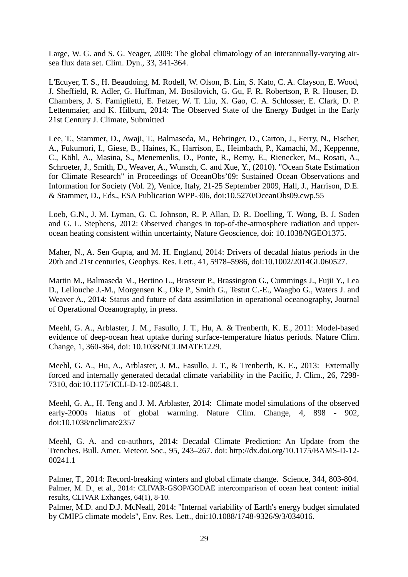Large, W. G. and S. G. Yeager, 2009: The global climatology of an interannually-varying airsea flux data set. Clim. Dyn., 33, 341-364.

L'Ecuyer, T. S., H. Beaudoing, M. Rodell, W. Olson, B. Lin, S. Kato, C. A. Clayson, E. Wood, J. Sheffield, R. Adler, G. Huffman, M. Bosilovich, G. Gu, F. R. Robertson, P. R. Houser, D. Chambers, J. S. Famiglietti, E. Fetzer, W. T. Liu, X. Gao, C. A. Schlosser, E. Clark, D. P. Lettenmaier, and K. Hilburn, 2014: The Observed State of the Energy Budget in the Early 21st Century J. Climate, Submitted

Lee, T., Stammer, D., Awaji, T., Balmaseda, M., Behringer, D., Carton, J., Ferry, N., Fischer, A., Fukumori, I., Giese, B., Haines, K., Harrison, E., Heimbach, P., Kamachi, M., Keppenne, C., Köhl, A., Masina, S., Menemenlis, D., Ponte, R., Remy, E., Rienecker, M., Rosati, A., Schroeter, J., Smith, D., Weaver, A., Wunsch, C. and Xue, Y., (2010). "Ocean State Estimation for Climate Research" in Proceedings of OceanObs'09: Sustained Ocean Observations and Information for Society (Vol. 2), Venice, Italy, 21-25 September 2009, Hall, J., Harrison, D.E. & Stammer, D., Eds., ESA Publication WPP-306, doi:10.5270/OceanObs09.cwp.55

Loeb, G.N., J. M. Lyman, G. C. Johnson, R. P. Allan, D. R. Doelling, T. Wong, B. J. Soden and G. L. Stephens, 2012: Observed changes in top-of-the-atmosphere radiation and upperocean heating consistent within uncertainty, Nature Geoscience, doi: 10.1038/NGEO1375.

Maher, N., A. Sen Gupta, and M. H. England, 2014: Drivers of decadal hiatus periods in the 20th and 21st centuries, Geophys. Res. Lett., 41, 5978–5986, doi:10.1002/2014GL060527.

Martin M., Balmaseda M., Bertino L., Brasseur P., Brassington G., Cummings J., Fujii Y., Lea D., Lellouche J.-M., Morgensen K., Oke P., Smith G., Testut C.-E., Waagbo G., Waters J. and Weaver A., 2014: Status and future of data assimilation in operational oceanography, Journal of Operational Oceanography, in press.

Meehl, G. A., Arblaster, J. M., Fasullo, J. T., Hu, A. & Trenberth, K. E., 2011: Model-based evidence of deep-ocean heat uptake during surface-temperature hiatus periods. Nature Clim. Change, 1, 360-364, doi: 10.1038/NCLIMATE1229.

Meehl, G. A., Hu, A., Arblaster, J. M., Fasullo, J. T., & Trenberth, K. E., 2013: Externally forced and internally generated decadal climate variability in the Pacific, J. Clim., 26, 7298- 7310, doi:10.1175/JCLI-D-12-00548.1.

Meehl, G. A., H. Teng and J. M. Arblaster, 2014: Climate model simulations of the observed early-2000s hiatus of global warming. Nature Clim. Change, 4, 898 - 902, doi:10.1038/nclimate2357

Meehl, G. A. and co-authors, 2014: Decadal Climate Prediction: An Update from the Trenches. Bull. Amer. Meteor. Soc., 95, 243–267. doi: http://dx.doi.org/10.1175/BAMS-D-12- 00241.1

Palmer, T., 2014: Record-breaking winters and global climate change. Science, 344, 803-804. Palmer, M. D., et al., 2014: CLIVAR-GSOP/GODAE intercomparison of ocean heat content: initial results, CLIVAR Exhanges, 64(1), 8-10.

Palmer, M.D. and D.J. McNeall, 2014: "Internal variability of Earth's energy budget simulated by CMIP5 climate models", Env. Res. Lett., doi:10.1088/1748-9326/9/3/034016.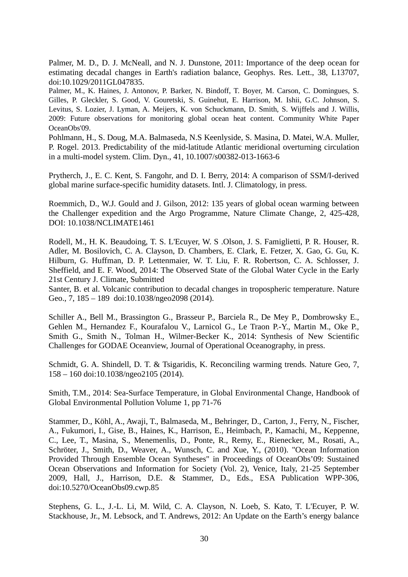Palmer, M. D., D. J. McNeall, and N. J. Dunstone, 2011: Importance of the deep ocean for estimating decadal changes in Earth's radiation balance, Geophys. Res. Lett., 38, L13707, doi:10.1029/2011GL047835.

Palmer, M., K. Haines, J. Antonov, P. Barker, N. Bindoff, T. Boyer, M. Carson, C. Domingues, S. Gilles, P. Gleckler, S. Good, V. Gouretski, S. Guinehut, E. Harrison, M. Ishii, G.C. Johnson, S. Levitus, S. Lozier, J. Lyman, A. Meijers, K. von Schuckmann, D. Smith, S. Wijffels and J. Willis, 2009: Future observations for monitoring global ocean heat content. Community White Paper OceanObs'09.

Pohlmann, H., S. Doug, M.A. Balmaseda, N.S Keenlyside, S. Masina, D. Matei, W.A. Muller, P. Rogel. 2013. Predictability of the mid-latitude Atlantic meridional overturning circulation in a multi-model system. Clim. Dyn., 41, 10.1007/s00382-013-1663-6

Prytherch, J., E. C. Kent, S. Fangohr, and D. I. Berry, 2014: A comparison of SSM/I-derived global marine surface-specific humidity datasets. Intl. J. Climatology, in press.

Roemmich, D., W.J. Gould and J. Gilson, 2012: 135 years of global ocean warming between the Challenger expedition and the Argo Programme, Nature Climate Change, 2, 425-428, DOI: 10.1038/NCLIMATE1461

Rodell, M., H. K. Beaudoing, T. S. L'Ecuyer, W. S .Olson, J. S. Famiglietti, P. R. Houser, R. Adler, M. Bosilovich, C. A. Clayson, D. Chambers, E. Clark, E. Fetzer, X. Gao, G. Gu, K. Hilburn, G. Huffman, D. P. Lettenmaier, W. T. Liu, F. R. Robertson, C. A. Schlosser, J. Sheffield, and E. F. Wood, 2014: The Observed State of the Global Water Cycle in the Early 21st Century J. Climate, Submitted

Santer, B. et al. Volcanic contribution to decadal changes in tropospheric temperature. Nature Geo., 7, 185 – 189 doi:10.1038/ngeo2098 (2014).

Schiller A., Bell M., Brassington G., Brasseur P., Barciela R., De Mey P., Dombrowsky E., Gehlen M., Hernandez F., Kourafalou V., Larnicol G., Le Traon P.-Y., Martin M., Oke P., Smith G., Smith N., Tolman H., Wilmer-Becker K., 2014: Synthesis of New Scientific Challenges for GODAE Oceanview, Journal of Operational Oceanography, in press.

Schmidt, G. A. Shindell, D. T. & Tsigaridis, K. Reconciling warming trends. Nature Geo, 7, 158 – 160 doi:10.1038/ngeo2105 (2014).

Smith, T.M., 2014: Sea-Surface Temperature, in Global Environmental Change, Handbook of Global Environmental Pollution Volume 1, pp 71-76

Stammer, D., Köhl, A., Awaji, T., Balmaseda, M., Behringer, D., Carton, J., Ferry, N., Fischer, A., Fukumori, I., Gise, B., Haines, K., Harrison, E., Heimbach, P., Kamachi, M., Keppenne, C., Lee, T., Masina, S., Menemenlis, D., Ponte, R., Remy, E., Rienecker, M., Rosati, A., Schröter, J., Smith, D., Weaver, A., Wunsch, C. and Xue, Y., (2010). "Ocean Information Provided Through Ensemble Ocean Syntheses" in Proceedings of OceanObs'09: Sustained Ocean Observations and Information for Society (Vol. 2), Venice, Italy, 21-25 September 2009, Hall, J., Harrison, D.E. & Stammer, D., Eds., ESA Publication WPP-306, doi:10.5270/OceanObs09.cwp.85

Stephens, G. L., J.-L. Li, M. Wild, C. A. Clayson, N. Loeb, S. Kato, T. L'Ecuyer, P. W. Stackhouse, Jr., M. Lebsock, and T. Andrews, 2012: An Update on the Earth's energy balance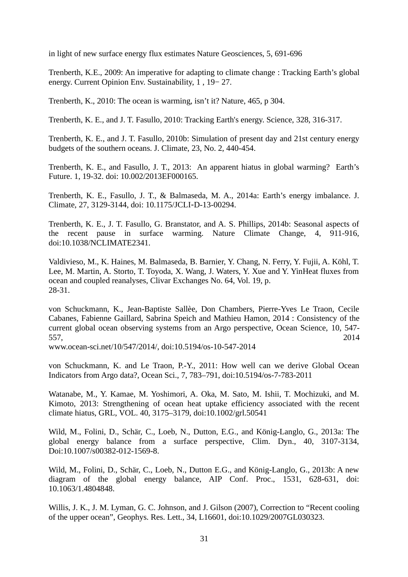in light of new surface energy flux estimates Nature Geosciences, 5, 691-696

Trenberth, K.E., 2009: An imperative for adapting to climate change : Tracking Earth's global energy. Current Opinion Env. Sustainability, 1 , 19− 27.

Trenberth, K., 2010: The ocean is warming, isn't it? Nature, 465, p 304.

Trenberth, K. E., and J. T. Fasullo, 2010: Tracking Earth's energy. Science, 328, 316-317.

Trenberth, K. E., and J. T. Fasullo, 2010b: Simulation of present day and 21st century energy budgets of the southern oceans. J. Climate, 23, No. 2, 440-454.

Trenberth, K. E., and Fasullo, J. T., 2013: An apparent hiatus in global warming? Earth's Future. 1, 19-32. doi: 10.002/2013EF000165.

Trenberth, K. E., Fasullo, J. T., & Balmaseda, M. A., 2014a: Earth's energy imbalance. J. Climate, 27, 3129-3144, doi: 10.1175/JCLI‐D-13-00294.

Trenberth, K. E., J. T. Fasullo, G. Branstator, and A. S. Phillips, 2014b: Seasonal aspects of the recent pause in surface warming. Nature Climate Change, 4, 911-916, doi:10.1038/NCLIMATE2341.

Valdivieso, M., K. Haines, M. Balmaseda, B. Barnier, Y. Chang, N. Ferry, Y. Fujii, A. Köhl, T. Lee, M. Martin, A. Storto, T. Toyoda, X. Wang, J. Waters, Y. Xue and Y. YinHeat fluxes from ocean and coupled reanalyses, Clivar Exchanges No. 64, Vol. 19, p. 28-31.

von Schuckmann, K., Jean-Baptiste Sallèe, Don Chambers, Pierre-Yves Le Traon, Cecile Cabanes, Fabienne Gaillard, Sabrina Speich and Mathieu Hamon, 2014 : Consistency of the current global ocean observing systems from an Argo perspective, Ocean Science, 10, 547- 557, 2014

www.ocean-sci.net/10/547/2014/, doi:10.5194/os-10-547-2014

von Schuckmann, K. and Le Traon, P.-Y., 2011: How well can we derive Global Ocean Indicators from Argo data?, Ocean Sci., 7, 783–791, doi:10.5194/os-7-783-2011

Watanabe, M., Y. Kamae, M. Yoshimori, A. Oka, M. Sato, M. Ishii, T. Mochizuki, and M. Kimoto, 2013: Strengthening of ocean heat uptake efficiency associated with the recent climate hiatus, GRL, VOL. 40, 3175–3179, doi:10.1002/grl.50541

Wild, M., Folini, D., Schär, C., Loeb, N., Dutton, E.G., and König-Langlo, G., 2013a: The global energy balance from a surface perspective, Clim. Dyn., 40, 3107-3134, Doi:10.1007/s00382-012-1569-8.

Wild, M., Folini, D., Schär, C., Loeb, N., Dutton E.G., and König-Langlo, G., 2013b: A new diagram of the global energy balance, AIP Conf. Proc., 1531, 628-631, doi: 10.1063/1.4804848.

Willis, J. K., J. M. Lyman, G. C. Johnson, and J. Gilson (2007), Correction to "Recent cooling of the upper ocean", Geophys. Res. Lett., 34, L16601, doi:10.1029/2007GL030323.